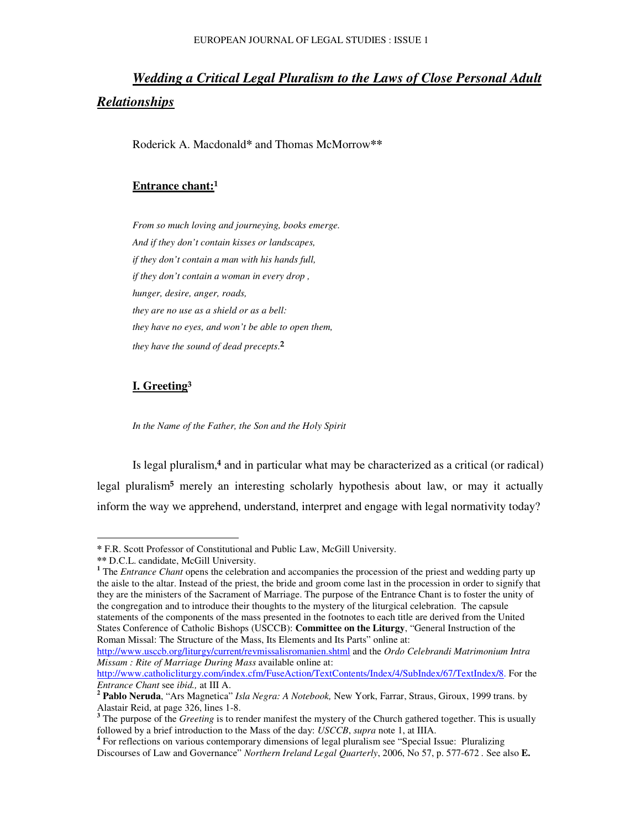# *Wedding a Critical Legal Pluralism to the Laws of Close Personal Adult Relationships*

Roderick A. Macdonald**\*** and Thomas McMorrow**\*\***

#### **Entrance chant:**

*From so much loving and journeying, books emerge. And if they don't contain kisses or landscapes, if they don't contain a man with his hands full, if they don't contain a woman in every drop , hunger, desire, anger, roads, they are no use as a shield or as a bell: they have no eyes, and won't be able to open them, they have the sound of dead precepts*. -

#### **I. Greeting**

*In the Name of the Father, the Son and the Holy Spirit*

Is legal pluralism,<sup>4</sup> and in particular what may be characterized as a critical (or radical) legal pluralism<sup>5</sup> merely an interesting scholarly hypothesis about law, or may it actually inform the way we apprehend, understand, interpret and engage with legal normativity today?

http://www.usccb.org/liturgy/current/revmissalisromanien.shtml and the *Ordo Celebrandi Matrimonium Intra Missam : Rite of Marriage During Mass* available online at:

**<sup>\*</sup>** F.R. Scott Professor of Constitutional and Public Law, McGill University.

**<sup>\*\*</sup>** D.C.L. candidate, McGill University.

<sup>&</sup>lt;sup>1</sup> The *Entrance Chant* opens the celebration and accompanies the procession of the priest and wedding party up the aisle to the altar. Instead of the priest, the bride and groom come last in the procession in order to signify that they are the ministers of the Sacrament of Marriage. The purpose of the Entrance Chant is to foster the unity of the congregation and to introduce their thoughts to the mystery of the liturgical celebration. The capsule statements of the components of the mass presented in the footnotes to each title are derived from the United States Conference of Catholic Bishops (USCCB): **Committee on the Liturgy**, "General Instruction of the Roman Missal: The Structure of the Mass, Its Elements and Its Parts" online at:

http://www.catholicliturgy.com/index.cfm/FuseAction/TextContents/Index/4/SubIndex/67/TextIndex/8. For the *Entrance Chant* see *ibid.,* at III A.

**<sup>2</sup> Pablo Neruda**, "Ars Magnetica" *Isla Negra: A Notebook,* New York, Farrar, Straus, Giroux, 1999 trans. by Alastair Reid, at page 326, lines 1-8.

**<sup>3</sup>** The purpose of the *Greeting* is to render manifest the mystery of the Church gathered together. This is usually followed by a brief introduction to the Mass of the day: *USCCB*, *supra* note 1, at IIIA.

<sup>&</sup>lt;sup>4</sup> For reflections on various contemporary dimensions of legal pluralism see "Special Issue: Pluralizing Discourses of Law and Governance" *Northern Ireland Legal Quarterly*, 2006, No 57, p. 577-672 *.* See also **E.**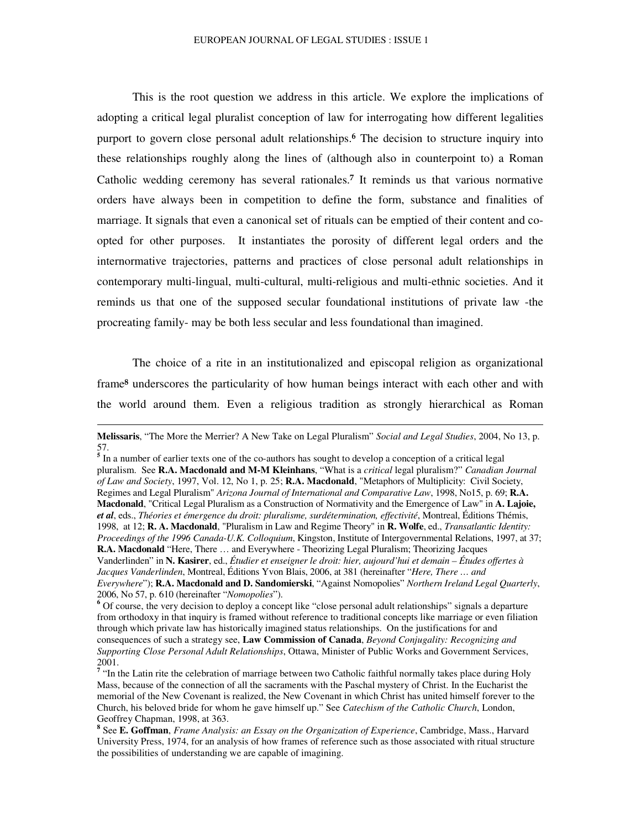This is the root question we address in this article. We explore the implications of adopting a critical legal pluralist conception of law for interrogating how different legalities purport to govern close personal adult relationships.<sup>6</sup> The decision to structure inquiry into these relationships roughly along the lines of (although also in counterpoint to) a Roman Catholic wedding ceremony has several rationales.<sup>7</sup> It reminds us that various normative orders have always been in competition to define the form, substance and finalities of marriage. It signals that even a canonical set of rituals can be emptied of their content and coopted for other purposes. It instantiates the porosity of different legal orders and the internormative trajectories, patterns and practices of close personal adult relationships in contemporary multi-lingual, multi-cultural, multi-religious and multi-ethnic societies. And it reminds us that one of the supposed secular foundational institutions of private law -the procreating family- may be both less secular and less foundational than imagined.

The choice of a rite in an institutionalized and episcopal religion as organizational frame<sup>8</sup> underscores the particularity of how human beings interact with each other and with the world around them. Even a religious tradition as strongly hierarchical as Roman

<sup>5</sup> In a number of earlier texts one of the co-authors has sought to develop a conception of a critical legal pluralism. See **R.A. Macdonald and M-M Kleinhans**, "What is a *critical* legal pluralism?" *Canadian Journal of Law and Society*, 1997, Vol. 12, No 1, p. 25; **R.A. Macdonald**, "Metaphors of Multiplicity: Civil Society, Regimes and Legal Pluralism" *Arizona Journal of International and Comparative Law*, 1998, No15, p. 69; **R.A. Macdonald**, "Critical Legal Pluralism as a Construction of Normativity and the Emergence of Law" in **A. Lajoie,** *et al*, eds., *Théories et émergence du droit: pluralisme, surdétermination, effectivité*, Montreal, Éditions Thémis, 1998, at 12; **R. A. Macdonald**, "Pluralism in Law and Regime Theory" in **R. Wolfe**, ed., *Transatlantic Identity: Proceedings of the 1996 Canada-U.K. Colloquium*, Kingston, Institute of Intergovernmental Relations, 1997, at 37; **R.A. Macdonald** "Here, There … and Everywhere - Theorizing Legal Pluralism; Theorizing Jacques Vanderlinden" in **N. Kasirer**, ed., *Étudier et enseigner le droit: hier, aujourd'hui et demain – Études offertes à Jacques Vanderlinden*, Montreal, Éditions Yvon Blais, 2006, at 381 (hereinafter "*Here, There … and Everywhere*"); **R.A. Macdonald and D. Sandomierski**, "Against Nomopolies" *Northern Ireland Legal Quarterly*, 2006, No 57, p. 610 (hereinafter "*Nomopolies*").

**Melissaris**, "The More the Merrier? A New Take on Legal Pluralism" *Social and Legal Studies*, 2004, No 13, p. 57.

<sup>&</sup>lt;sup>6</sup> Of course, the very decision to deploy a concept like "close personal adult relationships" signals a departure from orthodoxy in that inquiry is framed without reference to traditional concepts like marriage or even filiation through which private law has historically imagined status relationships. On the justifications for and consequences of such a strategy see, **Law Commission of Canada**, *Beyond Conjugality: Recognizing and Supporting Close Personal Adult Relationships*, Ottawa, Minister of Public Works and Government Services, 2001.<br><sup>7</sup> 'In the Latin rite the celebration of marriage between two Catholic faithful normally takes place during Holy

Mass, because of the connection of all the sacraments with the Paschal mystery of Christ. In the Eucharist the memorial of the New Covenant is realized, the New Covenant in which Christ has united himself forever to the Church, his beloved bride for whom he gave himself up." See *Catechism of the Catholic Church*, London, Geoffrey Chapman, 1998, at 363.

**<sup>8</sup>** See **E. Goffman**, *Frame Analysis: an Essay on the Organization of Experience*, Cambridge, Mass., Harvard University Press, 1974, for an analysis of how frames of reference such as those associated with ritual structure the possibilities of understanding we are capable of imagining.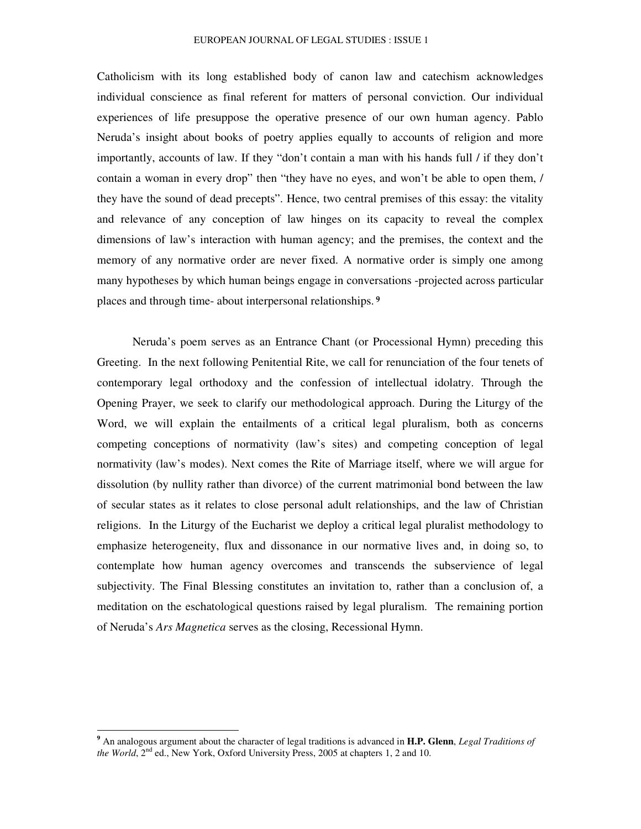Catholicism with its long established body of canon law and catechism acknowledges individual conscience as final referent for matters of personal conviction. Our individual experiences of life presuppose the operative presence of our own human agency. Pablo Neruda's insight about books of poetry applies equally to accounts of religion and more importantly, accounts of law. If they "don't contain a man with his hands full / if they don't contain a woman in every drop" then "they have no eyes, and won't be able to open them, / they have the sound of dead precepts". Hence, two central premises of this essay: the vitality and relevance of any conception of law hinges on its capacity to reveal the complex dimensions of law's interaction with human agency; and the premises, the context and the memory of any normative order are never fixed. A normative order is simply one among many hypotheses by which human beings engage in conversations -projected across particular places and through time- about interpersonal relationships.<sup>9</sup>

Neruda's poem serves as an Entrance Chant (or Processional Hymn) preceding this Greeting. In the next following Penitential Rite, we call for renunciation of the four tenets of contemporary legal orthodoxy and the confession of intellectual idolatry. Through the Opening Prayer, we seek to clarify our methodological approach. During the Liturgy of the Word, we will explain the entailments of a critical legal pluralism, both as concerns competing conceptions of normativity (law's sites) and competing conception of legal normativity (law's modes). Next comes the Rite of Marriage itself, where we will argue for dissolution (by nullity rather than divorce) of the current matrimonial bond between the law of secular states as it relates to close personal adult relationships, and the law of Christian religions. In the Liturgy of the Eucharist we deploy a critical legal pluralist methodology to emphasize heterogeneity, flux and dissonance in our normative lives and, in doing so, to contemplate how human agency overcomes and transcends the subservience of legal subjectivity. The Final Blessing constitutes an invitation to, rather than a conclusion of, a meditation on the eschatological questions raised by legal pluralism. The remaining portion of Neruda's *Ars Magnetica* serves as the closing, Recessional Hymn.

**<sup>9</sup>** An analogous argument about the character of legal traditions is advanced in **H.P. Glenn**, *Legal Traditions of* the World, 2<sup>nd</sup> ed., New York, Oxford University Press, 2005 at chapters 1, 2 and 10.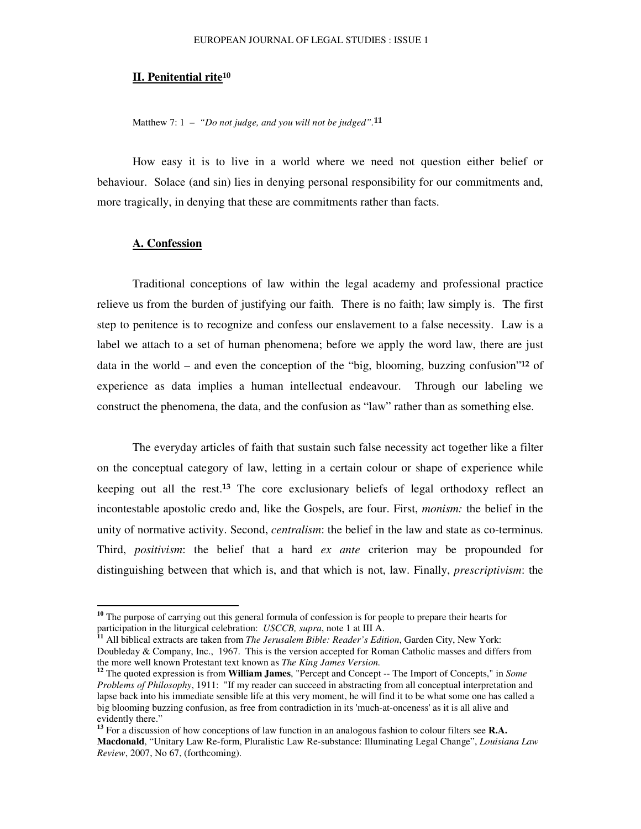#### **II. Penitential rite**

Matthew 7: 1 – *"Do not judge, and you will not be judged".*

How easy it is to live in a world where we need not question either belief or behaviour. Solace (and sin) lies in denying personal responsibility for our commitments and, more tragically, in denying that these are commitments rather than facts.

#### **A. Confession**

Traditional conceptions of law within the legal academy and professional practice relieve us from the burden of justifying our faith. There is no faith; law simply is. The first step to penitence is to recognize and confess our enslavement to a false necessity. Law is a label we attach to a set of human phenomena; before we apply the word law, there are just data in the world  $-$  and even the conception of the "big, blooming, buzzing confusion"<sup>12</sup> of experience as data implies a human intellectual endeavour. Through our labeling we construct the phenomena, the data, and the confusion as "law" rather than as something else.

The everyday articles of faith that sustain such false necessity act together like a filter on the conceptual category of law, letting in a certain colour or shape of experience while keeping out all the rest.<sup>13</sup> The core exclusionary beliefs of legal orthodoxy reflect an incontestable apostolic credo and, like the Gospels, are four. First, *monism:* the belief in the unity of normative activity. Second, *centralism*: the belief in the law and state as co-terminus. Third, *positivism*: the belief that a hard *ex ante* criterion may be propounded for distinguishing between that which is, and that which is not, law. Finally, *prescriptivism*: the

<sup>&</sup>lt;sup>10</sup> The purpose of carrying out this general formula of confession is for people to prepare their hearts for participation in the liturgical celebration: *USCCB, supra*, note 1 at III A.

**<sup>11</sup>** All biblical extracts are taken from *The Jerusalem Bible: Reader's Edition*, Garden City, New York: Doubleday & Company, Inc., 1967. This is the version accepted for Roman Catholic masses and differs from the more well known Protestant text known as *The King James Version.*

**<sup>12</sup>** The quoted expression is from **William James**, "Percept and Concept -- The Import of Concepts," in *Some Problems of Philosophy*, 1911: "If my reader can succeed in abstracting from all conceptual interpretation and lapse back into his immediate sensible life at this very moment, he will find it to be what some one has called a big blooming buzzing confusion, as free from contradiction in its 'much-at-onceness'as it is all alive and evidently there."

**<sup>13</sup>** For a discussion of how conceptions of law function in an analogous fashion to colour filters see **R.A. Macdonald**, "Unitary Law Re-form, Pluralistic Law Re-substance: Illuminating Legal Change", *Louisiana Law Review*, 2007, No 67, (forthcoming).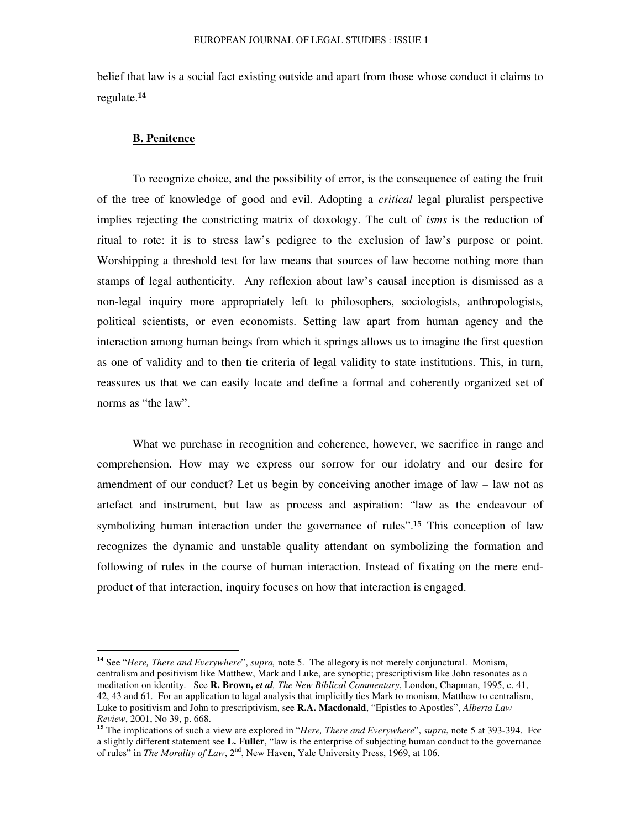belief that law is a social fact existing outside and apart from those whose conduct it claims to regulate.

#### **B. Penitence**

To recognize choice, and the possibility of error, is the consequence of eating the fruit of the tree of knowledge of good and evil. Adopting a *critical* legal pluralist perspective implies rejecting the constricting matrix of doxology. The cult of *isms* is the reduction of ritual to rote: it is to stress law's pedigree to the exclusion of law's purpose or point. Worshipping a threshold test for law means that sources of law become nothing more than stamps of legal authenticity. Any reflexion about law's causal inception is dismissed as a non-legal inquiry more appropriately left to philosophers, sociologists, anthropologists, political scientists, or even economists. Setting law apart from human agency and the interaction among human beings from which it springs allows us to imagine the first question as one of validity and to then tie criteria of legal validity to state institutions. This, in turn, reassures us that we can easily locate and define a formal and coherently organized set of norms as "the law".

What we purchase in recognition and coherence, however, we sacrifice in range and comprehension. How may we express our sorrow for our idolatry and our desire for amendment of our conduct? Let us begin by conceiving another image of law – law not as artefact and instrument, but law as process and aspiration: "law as the endeavour of symbolizing human interaction under the governance of rules".<sup>15</sup> This conception of law recognizes the dynamic and unstable quality attendant on symbolizing the formation and following of rules in the course of human interaction. Instead of fixating on the mere endproduct of that interaction, inquiry focuses on how that interaction is engaged.

**<sup>14</sup>** See "*Here, There and Everywhere*", *supra,* note 5. The allegory is not merely conjunctural. Monism, centralism and positivism like Matthew, Mark and Luke, are synoptic; prescriptivism like John resonates as a meditation on identity. See **R. Brown,** *et al, The New Biblical Commentary*, London, Chapman, 1995, c. 41, 42, 43 and 61. For an application to legal analysis that implicitly ties Mark to monism, Matthew to centralism, Luke to positivism and John to prescriptivism, see **R.A. Macdonald**, "Epistles to Apostles", *Alberta Law Review*, 2001, No 39, p. 668.

**<sup>15</sup>** The implications of such a view are explored in "*Here, There and Everywhere*", *supra*, note 5 at 393-394. For a slightly different statement see **L. Fuller**, "law is the enterprise of subjecting human conduct to the governance of rules" in *The Morality of Law*, 2<sup>nd</sup>, New Haven, Yale University Press, 1969, at 106.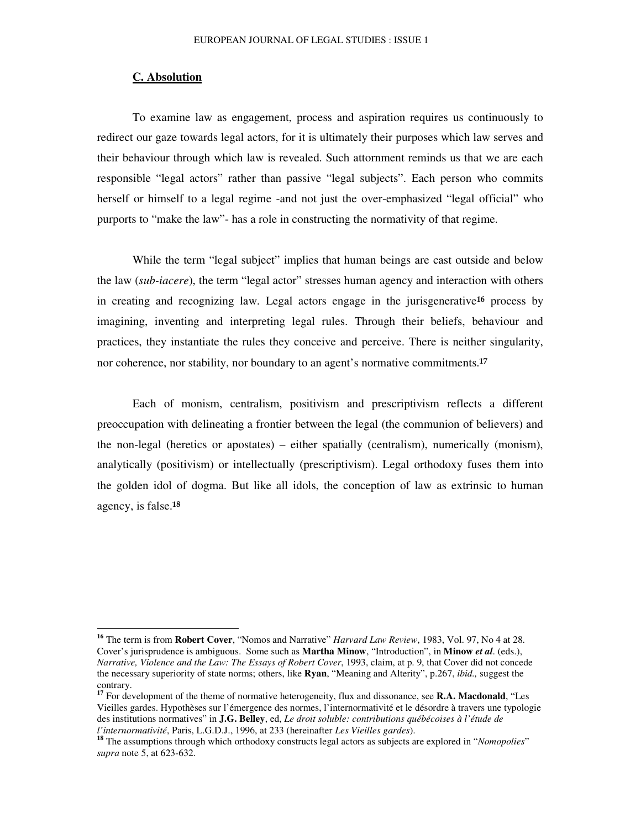#### **C. Absolution**

To examine law as engagement, process and aspiration requires us continuously to redirect our gaze towards legal actors, for it is ultimately their purposes which law serves and their behaviour through which law is revealed. Such attornment reminds us that we are each responsible "legal actors" rather than passive "legal subjects". Each person who commits herself or himself to a legal regime -and not just the over-emphasized "legal official" who purports to "make the law"- has a role in constructing the normativity of that regime.

While the term "legal subject" implies that human beings are cast outside and below the law (*sub-iacere*), the term "legal actor" stresses human agency and interaction with others in creating and recognizing law. Legal actors engage in the jurisgenerative<sup>16</sup> process by imagining, inventing and interpreting legal rules. Through their beliefs, behaviour and practices, they instantiate the rules they conceive and perceive. There is neither singularity, nor coherence, nor stability, nor boundary to an agent's normative commitments.<sup>17</sup>

Each of monism, centralism, positivism and prescriptivism reflects a different preoccupation with delineating a frontier between the legal (the communion of believers) and the non-legal (heretics or apostates) – either spatially (centralism), numerically (monism), analytically (positivism) or intellectually (prescriptivism). Legal orthodoxy fuses them into the golden idol of dogma. But like all idols, the conception of law as extrinsic to human agency, is false.<sup>18</sup>

**<sup>16</sup>** The term is from **Robert Cover**, "Nomos and Narrative" *Harvard Law Review*, 1983, Vol. 97, No 4 at 28. Cover's jurisprudence is ambiguous. Some such as **Martha Minow**, "Introduction", in **Minow** *et al*. (eds.), *Narrative, Violence and the Law: The Essays of Robert Cover*, 1993, claim, at p. 9, that Cover did not concede the necessary superiority of state norms; others, like **Ryan**, "Meaning and Alterity", p.267, *ibid.,* suggest the contrary. **17** For development of the theme of normative heterogeneity, flux and dissonance, see **R.A. Macdonald**, "Les

Vieilles gardes. Hypothèses sur l'émergence des normes, l'internormativité et le désordre à travers une typologie des institutions normatives" in **J.G. Belley**, ed, *Le droit soluble: contributions québécoises à l'étude de l'internormativité*, Paris, L.G.D.J., 1996, at 233 (hereinafter *Les Vieilles gardes*).

**<sup>18</sup>** The assumptions through which orthodoxy constructs legal actors as subjects are explored in "*Nomopolies*" *supra* note 5, at 623-632.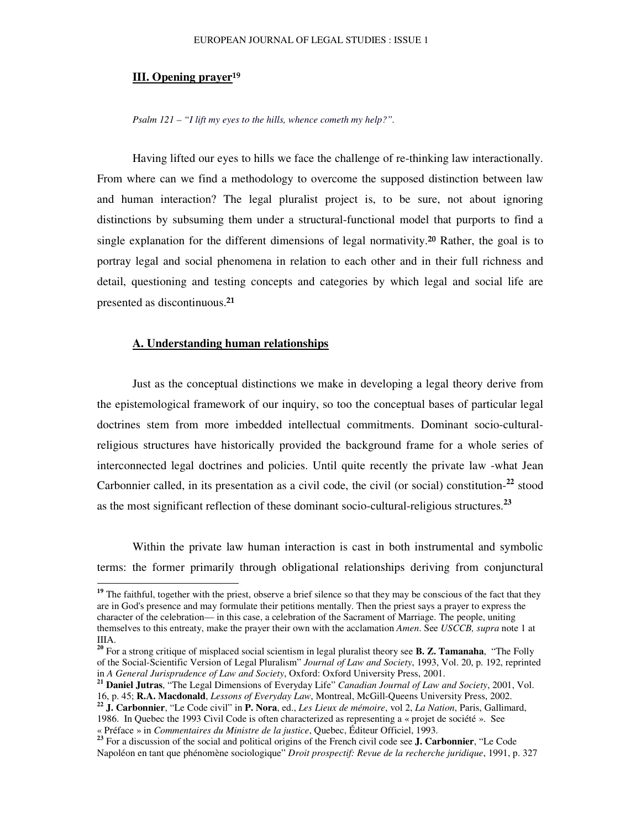#### **III. Opening prayer**

*Psalm 121 – "I lift my eyes to the hills, whence cometh my help?".*

Having lifted our eyes to hills we face the challenge of re-thinking law interactionally. From where can we find a methodology to overcome the supposed distinction between law and human interaction? The legal pluralist project is, to be sure, not about ignoring distinctions by subsuming them under a structural-functional model that purports to find a single explanation for the different dimensions of legal normativity.<sup>20</sup> Rather, the goal is to portray legal and social phenomena in relation to each other and in their full richness and detail, questioning and testing concepts and categories by which legal and social life are presented as discontinuous.<sup>21</sup>

#### **A. Understanding human relationships**

Just as the conceptual distinctions we make in developing a legal theory derive from the epistemological framework of our inquiry, so too the conceptual bases of particular legal doctrines stem from more imbedded intellectual commitments. Dominant socio-culturalreligious structures have historically provided the background frame for a whole series of interconnected legal doctrines and policies. Until quite recently the private law -what Jean Carbonnier called, in its presentation as a civil code, the civil (or social) constitution-**22** stood as the most significant reflection of these dominant socio-cultural-religious structures. **23**

Within the private law human interaction is cast in both instrumental and symbolic terms: the former primarily through obligational relationships deriving from conjunctural

<sup>&</sup>lt;sup>19</sup> The faithful, together with the priest, observe a brief silence so that they may be conscious of the fact that they are in God's presence and may formulate their petitions mentally. Then the priest says a prayer to express the character of the celebration— in this case, a celebration of the Sacrament of Marriage. The people, uniting themselves to this entreaty, make the prayer their own with the acclamation *Amen*. See *USCCB, supra* note 1 at IIIA.

**<sup>20</sup>** For a strong critique of misplaced social scientism in legal pluralist theory see **B. Z. Tamanaha**, "The Folly of the Social-Scientific Version of Legal Pluralism" *Journal of Law and Society*, 1993, Vol. 20, p. 192, reprinted in *A General Jurisprudence of Law and Society*, Oxford: Oxford University Press, 2001.

**<sup>21</sup> Daniel Jutras**, "The Legal Dimensions of Everyday Life" *Canadian Journal of Law and Society*, 2001, Vol. 16, p. 45; **R.A. Macdonald**, *Lessons of Everyday Law*, Montreal, McGill-Queens University Press, 2002.

**<sup>22</sup> J. Carbonnier**, "Le Code civil" in **P. Nora**, ed., *Les Lieux de mémoire*, vol 2, *La Nation*, Paris, Gallimard, 1986. In Quebec the 1993 Civil Code is often characterized as representing a « projet de société ». See « Préface » in *Commentaires du Ministre de la justice*, Quebec, Éditeur Officiel, 1993.

**<sup>23</sup>** For a discussion of the social and political origins of the French civil code see **J. Carbonnier**, "Le Code Napoléon en tant que phénomène sociologique" *Droit prospectif: Revue de la recherche juridique*, 1991, p. 327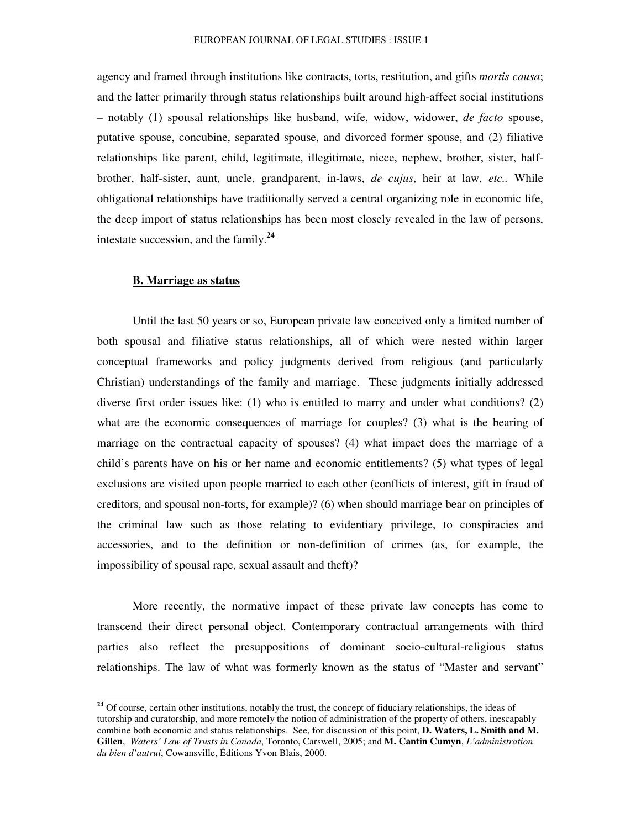agency and framed through institutions like contracts, torts, restitution, and gifts *mortis causa*; and the latter primarily through status relationships built around high-affect social institutions – notably (1) spousal relationships like husband, wife, widow, widower, *de facto* spouse, putative spouse, concubine, separated spouse, and divorced former spouse, and (2) filiative relationships like parent, child, legitimate, illegitimate, niece, nephew, brother, sister, halfbrother, half-sister, aunt, uncle, grandparent, in-laws, *de cujus*, heir at law, *etc..* While obligational relationships have traditionally served a central organizing role in economic life, the deep import of status relationships has been most closely revealed in the law of persons, intestate succession, and the family. **24**

#### **B. Marriage as status**

Until the last 50 years or so, European private law conceived only a limited number of both spousal and filiative status relationships, all of which were nested within larger conceptual frameworks and policy judgments derived from religious (and particularly Christian) understandings of the family and marriage. These judgments initially addressed diverse first order issues like: (1) who is entitled to marry and under what conditions? (2) what are the economic consequences of marriage for couples? (3) what is the bearing of marriage on the contractual capacity of spouses? (4) what impact does the marriage of a child's parents have on his or her name and economic entitlements? (5) what types of legal exclusions are visited upon people married to each other (conflicts of interest, gift in fraud of creditors, and spousal non-torts, for example)? (6) when should marriage bear on principles of the criminal law such as those relating to evidentiary privilege, to conspiracies and accessories, and to the definition or non-definition of crimes (as, for example, the impossibility of spousal rape, sexual assault and theft)?

More recently, the normative impact of these private law concepts has come to transcend their direct personal object. Contemporary contractual arrangements with third parties also reflect the presuppositions of dominant socio-cultural-religious status relationships. The law of what was formerly known as the status of "Master and servant"

<sup>&</sup>lt;sup>24</sup> Of course, certain other institutions, notably the trust, the concept of fiduciary relationships, the ideas of tutorship and curatorship, and more remotely the notion of administration of the property of others, inescapably combine both economic and status relationships. See, for discussion of this point, **D. Waters, L. Smith and M. Gillen**, *Waters' Law of Trusts in Canada*, Toronto, Carswell, 2005; and **M. Cantin Cumyn**, *L'administration du bien d'autrui*, Cowansville, Éditions Yvon Blais, 2000.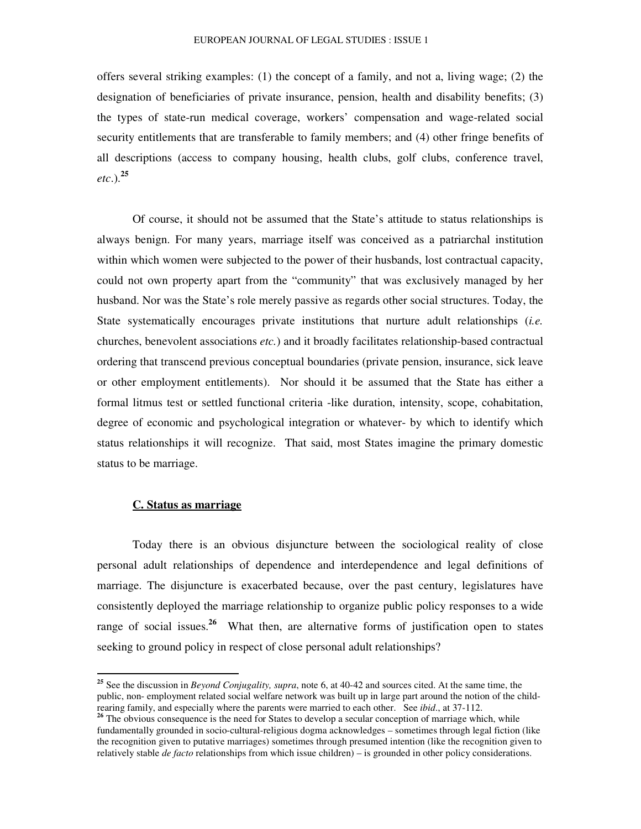offers several striking examples: (1) the concept of a family, and not a, living wage; (2) the designation of beneficiaries of private insurance, pension, health and disability benefits; (3) the types of state-run medical coverage, workers' compensation and wage-related social security entitlements that are transferable to family members; and (4) other fringe benefits of all descriptions (access to company housing, health clubs, golf clubs, conference travel, *etc*.). **25**

Of course, it should not be assumed that the State's attitude to status relationships is always benign. For many years, marriage itself was conceived as a patriarchal institution within which women were subjected to the power of their husbands, lost contractual capacity, could not own property apart from the "community" that was exclusively managed by her husband. Nor was the State's role merely passive as regards other social structures. Today, the State systematically encourages private institutions that nurture adult relationships (*i.e.* churches, benevolent associations *etc.*) and it broadly facilitates relationship-based contractual ordering that transcend previous conceptual boundaries (private pension, insurance, sick leave or other employment entitlements). Nor should it be assumed that the State has either a formal litmus test or settled functional criteria -like duration, intensity, scope, cohabitation, degree of economic and psychological integration or whatever- by which to identify which status relationships it will recognize. That said, most States imagine the primary domestic status to be marriage.

#### **C. Status as marriage**

Today there is an obvious disjuncture between the sociological reality of close personal adult relationships of dependence and interdependence and legal definitions of marriage. The disjuncture is exacerbated because, over the past century, legislatures have consistently deployed the marriage relationship to organize public policy responses to a wide range of social issues. **<sup>26</sup>** What then, are alternative forms of justification open to states seeking to ground policy in respect of close personal adult relationships?

**<sup>25</sup>** See the discussion in *Beyond Conjugality, supra*, note 6, at 40-42 and sources cited. At the same time, the public, non- employment related social welfare network was built up in large part around the notion of the childrearing family, and especially where the parents were married to each other. See *ibid*., at 37-112.

<sup>&</sup>lt;sup>26</sup> The obvious consequence is the need for States to develop a secular conception of marriage which, while fundamentally grounded in socio-cultural-religious dogma acknowledges – sometimes through legal fiction (like the recognition given to putative marriages) sometimes through presumed intention (like the recognition given to relatively stable *de facto* relationships from which issue children) – is grounded in other policy considerations.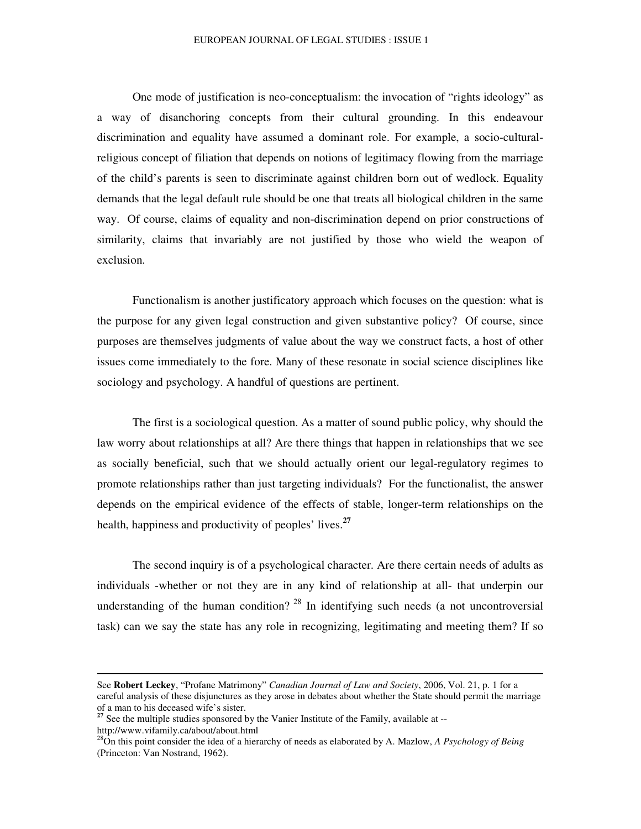One mode of justification is neo-conceptualism: the invocation of "rights ideology" as a way of disanchoring concepts from their cultural grounding. In this endeavour discrimination and equality have assumed a dominant role. For example, a socio-culturalreligious concept of filiation that depends on notions of legitimacy flowing from the marriage of the child's parents is seen to discriminate against children born out of wedlock. Equality demands that the legal default rule should be one that treats all biological children in the same way. Of course, claims of equality and non-discrimination depend on prior constructions of similarity, claims that invariably are not justified by those who wield the weapon of exclusion.

Functionalism is another justificatory approach which focuses on the question: what is the purpose for any given legal construction and given substantive policy? Of course, since purposes are themselves judgments of value about the way we construct facts, a host of other issues come immediately to the fore. Many of these resonate in social science disciplines like sociology and psychology. A handful of questions are pertinent.

The first is a sociological question. As a matter of sound public policy, why should the law worry about relationships at all? Are there things that happen in relationships that we see as socially beneficial, such that we should actually orient our legal-regulatory regimes to promote relationships rather than just targeting individuals? For the functionalist, the answer depends on the empirical evidence of the effects of stable, longer-term relationships on the health, happiness and productivity of peoples' lives. **27**

The second inquiry is of a psychological character. Are there certain needs of adults as individuals -whether or not they are in any kind of relationship at all- that underpin our understanding of the human condition?  $28$  In identifying such needs (a not uncontroversial task) can we say the state has any role in recognizing, legitimating and meeting them? If so

See **Robert Leckey**, "Profane Matrimony" *Canadian Journal of Law and Society*, 2006, Vol. 21, p. 1 for a careful analysis of these disjunctures as they arose in debates about whether the State should permit the marriage

of a man to his deceased wife's sister. **27** See the multiple studies sponsored by the Vanier Institute of the Family, available at - http://www.vifamily.ca/about/about.html

<sup>28</sup>On this point consider the idea of a hierarchy of needs as elaborated by A. Mazlow, *A Psychology of Being* (Princeton: Van Nostrand, 1962).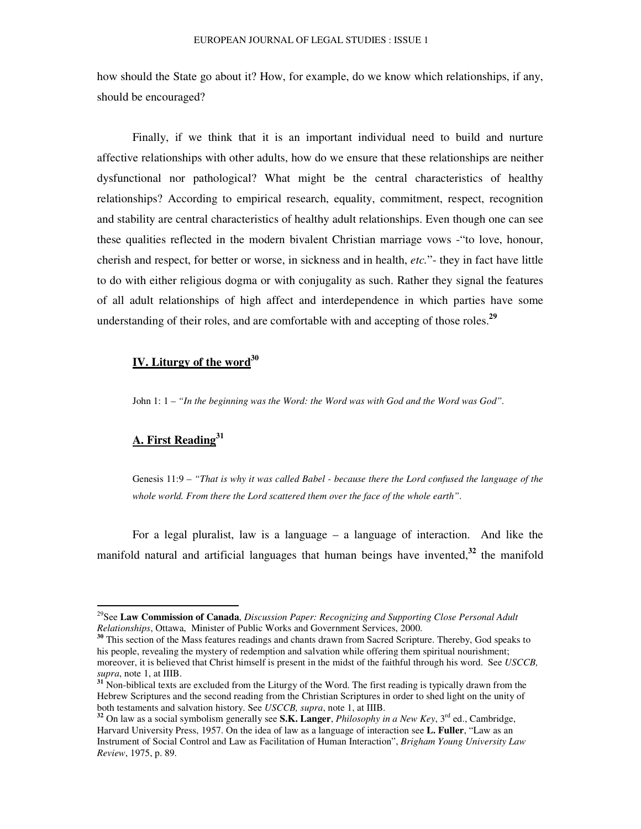how should the State go about it? How, for example, do we know which relationships, if any, should be encouraged?

Finally, if we think that it is an important individual need to build and nurture affective relationships with other adults, how do we ensure that these relationships are neither dysfunctional nor pathological? What might be the central characteristics of healthy relationships? According to empirical research, equality, commitment, respect, recognition and stability are central characteristics of healthy adult relationships. Even though one can see these qualities reflected in the modern bivalent Christian marriage vows -"to love, honour, cherish and respect, for better or worse, in sickness and in health, *etc.*"- they in fact have little to do with either religious dogma or with conjugality as such. Rather they signal the features of all adult relationships of high affect and interdependence in which parties have some understanding of their roles, and are comfortable with and accepting of those roles. **29**

# **IV. Liturgy of the word 30**

John 1: 1 – *"In the beginning was the Word: the Word was with God and the Word was God".*

# **A. First Reading 31**

Genesis 11:9 – *"That is why it was called Babel - because there the Lord confused the language of the whole world. From there the Lord scattered them over the face of the whole earth"*.

For a legal pluralist, law is a language – a language of interaction. And like the manifold natural and artificial languages that human beings have invented, **32** the manifold

<sup>29</sup> See **Law Commission of Canada**, *Discussion Paper: Recognizing and Supporting Close Personal Adult Relationships*, Ottawa, Minister of Public Works and Government Services, 2000.

**<sup>30</sup>** This section of the Mass features readings and chants drawn from Sacred Scripture. Thereby, God speaks to his people, revealing the mystery of redemption and salvation while offering them spiritual nourishment; moreover, it is believed that Christ himself is present in the midst of the faithful through his word. See *USCCB, supra*, note 1, at IIIB.

**<sup>31</sup>** Non-biblical texts are excluded from the Liturgy of the Word. The first reading is typically drawn from the Hebrew Scriptures and the second reading from the Christian Scriptures in order to shed light on the unity of both testaments and salvation history. See *USCCB, supra*, note 1, at IIIB.

**<sup>32</sup>** On law as a social symbolism generally see **S.K. Langer**, *Philosophy in a New Key*, 3 rd ed., Cambridge, Harvard University Press, 1957. On the idea of law as a language of interaction see **L. Fuller**, "Law as an Instrument of Social Control and Law as Facilitation of Human Interaction", *Brigham Young University Law Review*, 1975, p. 89.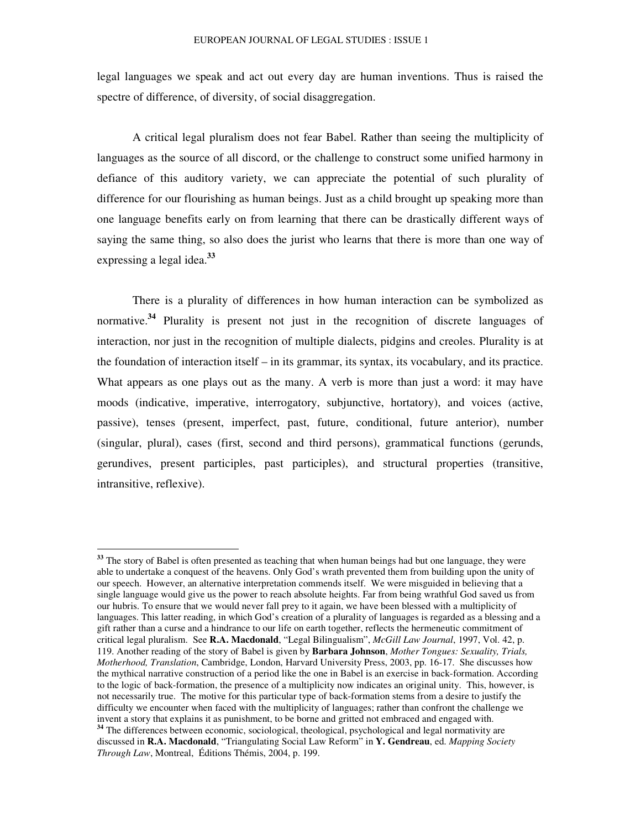legal languages we speak and act out every day are human inventions. Thus is raised the spectre of difference, of diversity, of social disaggregation.

A critical legal pluralism does not fear Babel. Rather than seeing the multiplicity of languages as the source of all discord, or the challenge to construct some unified harmony in defiance of this auditory variety, we can appreciate the potential of such plurality of difference for our flourishing as human beings. Just as a child brought up speaking more than one language benefits early on from learning that there can be drastically different ways of saying the same thing, so also does the jurist who learns that there is more than one way of expressing a legal idea. **33**

There is a plurality of differences in how human interaction can be symbolized as normative. **34** Plurality is present not just in the recognition of discrete languages of interaction, nor just in the recognition of multiple dialects, pidgins and creoles. Plurality is at the foundation of interaction itself – in its grammar, its syntax, its vocabulary, and its practice. What appears as one plays out as the many. A verb is more than just a word: it may have moods (indicative, imperative, interrogatory, subjunctive, hortatory), and voices (active, passive), tenses (present, imperfect, past, future, conditional, future anterior), number (singular, plural), cases (first, second and third persons), grammatical functions (gerunds, gerundives, present participles, past participles), and structural properties (transitive, intransitive, reflexive).

**<sup>33</sup>** The story of Babel is often presented as teaching that when human beings had but one language, they were able to undertake a conquest of the heavens. Only God's wrath prevented them from building upon the unity of our speech. However, an alternative interpretation commends itself. We were misguided in believing that a single language would give us the power to reach absolute heights. Far from being wrathful God saved us from our hubris. To ensure that we would never fall prey to it again, we have been blessed with a multiplicity of languages. This latter reading, in which God's creation of a plurality of languages is regarded as a blessing and a gift rather than a curse and a hindrance to our life on earth together, reflects the hermeneutic commitment of critical legal pluralism. See **R.A. Macdonald**, "Legal Bilingualism", *McGill Law Journal*, 1997, Vol. 42, p. 119. Another reading of the story of Babel is given by **Barbara Johnson**, *Mother Tongues: Sexuality, Trials, Motherhood, Translation*, Cambridge, London, Harvard University Press, 2003, pp. 16-17. She discusses how the mythical narrative construction of a period like the one in Babel is an exercise in back-formation. According to the logic of back-formation, the presence of a multiplicity now indicates an original unity. This, however, is not necessarily true. The motive for this particular type of back-formation stems from a desire to justify the difficulty we encounter when faced with the multiplicity of languages; rather than confront the challenge we invent a story that explains it as punishment, to be borne and gritted not embraced and engaged with. <sup>34</sup> The differences between economic, sociological, theological, psychological and legal normativity are

discussed in **R.A. Macdonald**, "Triangulating Social Law Reform" in **Y. Gendreau**, ed. *Mapping Society Through Law*, Montreal, Éditions Thémis, 2004, p. 199.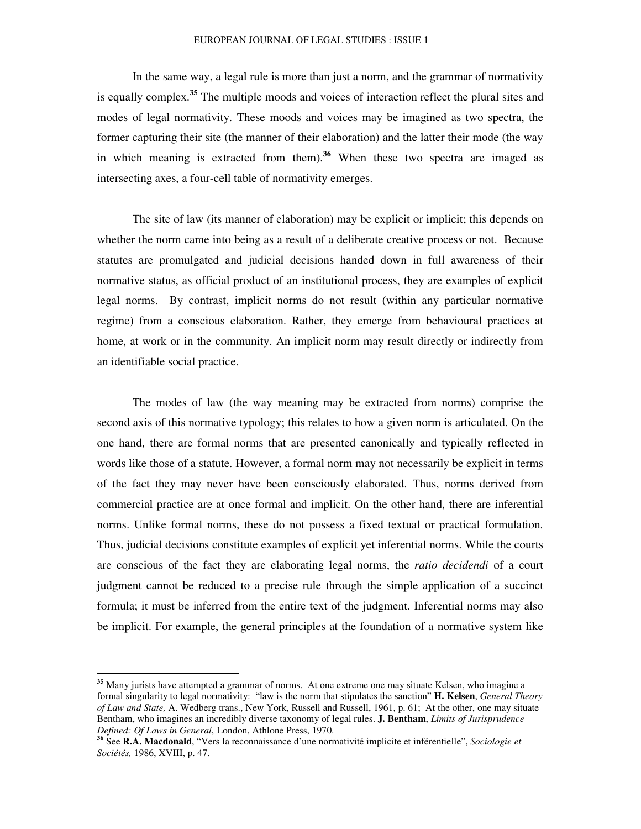#### EUROPEAN JOURNAL OF LEGAL STUDIES : ISSUE 1

In the same way, a legal rule is more than just a norm, and the grammar of normativity is equally complex. **<sup>35</sup>** The multiple moods and voices of interaction reflect the plural sites and modes of legal normativity. These moods and voices may be imagined as two spectra, the former capturing their site (the manner of their elaboration) and the latter their mode (the way in which meaning is extracted from them). **<sup>36</sup>** When these two spectra are imaged as intersecting axes, a four-cell table of normativity emerges.

The site of law (its manner of elaboration) may be explicit or implicit; this depends on whether the norm came into being as a result of a deliberate creative process or not. Because statutes are promulgated and judicial decisions handed down in full awareness of their normative status, as official product of an institutional process, they are examples of explicit legal norms. By contrast, implicit norms do not result (within any particular normative regime) from a conscious elaboration. Rather, they emerge from behavioural practices at home, at work or in the community. An implicit norm may result directly or indirectly from an identifiable social practice.

The modes of law (the way meaning may be extracted from norms) comprise the second axis of this normative typology; this relates to how a given norm is articulated. On the one hand, there are formal norms that are presented canonically and typically reflected in words like those of a statute. However, a formal norm may not necessarily be explicit in terms of the fact they may never have been consciously elaborated. Thus, norms derived from commercial practice are at once formal and implicit. On the other hand, there are inferential norms. Unlike formal norms, these do not possess a fixed textual or practical formulation. Thus, judicial decisions constitute examples of explicit yet inferential norms. While the courts are conscious of the fact they are elaborating legal norms, the *ratio decidendi* of a court judgment cannot be reduced to a precise rule through the simple application of a succinct formula; it must be inferred from the entire text of the judgment. Inferential norms may also be implicit. For example, the general principles at the foundation of a normative system like

<sup>&</sup>lt;sup>35</sup> Many jurists have attempted a grammar of norms. At one extreme one may situate Kelsen, who imagine a formal singularity to legal normativity: "law is the norm that stipulates the sanction" **H. Kelsen**, *General Theory of Law and State,* A. Wedberg trans., New York, Russell and Russell, 1961, p. 61; At the other, one may situate Bentham, who imagines an incredibly diverse taxonomy of legal rules. **J. Bentham**, *Limits of Jurisprudence Defined: Of Laws in General*, London, Athlone Press, 1970.

**<sup>36</sup>** See **R.A. Macdonald**, "Vers la reconnaissance d'une normativité implicite et inférentielle", *Sociologie et Sociétés,* 1986, XVIII, p. 47.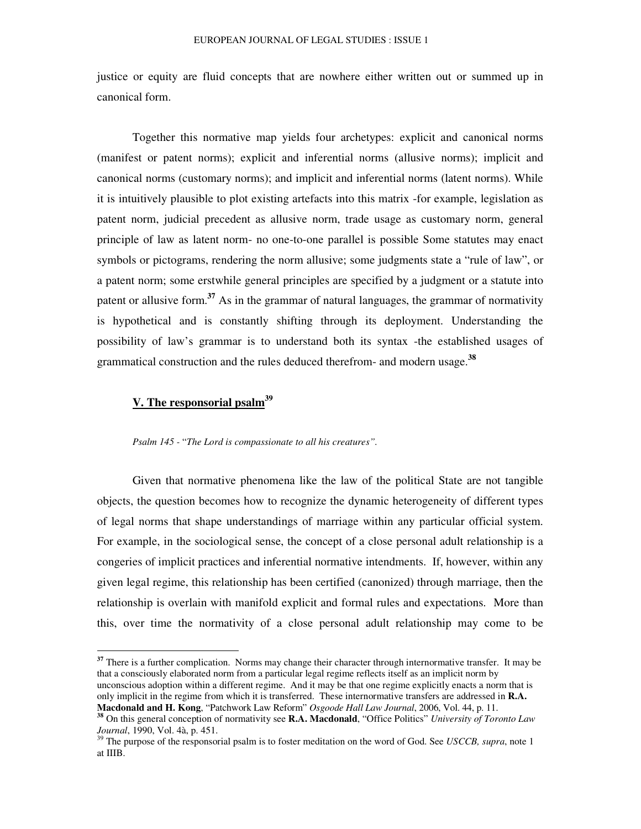justice or equity are fluid concepts that are nowhere either written out or summed up in canonical form.

Together this normative map yields four archetypes: explicit and canonical norms (manifest or patent norms); explicit and inferential norms (allusive norms); implicit and canonical norms (customary norms); and implicit and inferential norms (latent norms). While it is intuitively plausible to plot existing artefacts into this matrix -for example, legislation as patent norm, judicial precedent as allusive norm, trade usage as customary norm, general principle of law as latent norm- no one-to-one parallel is possible Some statutes may enact symbols or pictograms, rendering the norm allusive; some judgments state a "rule of law", or a patent norm; some erstwhile general principles are specified by a judgment or a statute into patent or allusive form. **<sup>37</sup>** As in the grammar of natural languages, the grammar of normativity is hypothetical and is constantly shifting through its deployment. Understanding the possibility of law's grammar is to understand both its syntax -the established usages of grammatical construction and the rules deduced therefrom- and modern usage. **38**

# **V. The responsorial psalm 39**

#### *Psalm 145 -* "*The Lord is compassionate to all his creatures".*

Given that normative phenomena like the law of the political State are not tangible objects, the question becomes how to recognize the dynamic heterogeneity of different types of legal norms that shape understandings of marriage within any particular official system. For example, in the sociological sense, the concept of a close personal adult relationship is a congeries of implicit practices and inferential normative intendments. If, however, within any given legal regime, this relationship has been certified (canonized) through marriage, then the relationship is overlain with manifold explicit and formal rules and expectations. More than this, over time the normativity of a close personal adult relationship may come to be

<sup>37</sup> There is a further complication. Norms may change their character through internormative transfer. It may be that a consciously elaborated norm from a particular legal regime reflects itself as an implicit norm by unconscious adoption within a different regime. And it may be that one regime explicitly enacts a norm that is only implicit in the regime from which it is transferred. These internormative transfers are addressed in **R.A. Macdonald and H. Kong**, "Patchwork Law Reform" *Osgoode Hall Law Journal*, 2006, Vol. 44, p. 11.

**<sup>38</sup>** On this general conception of normativity see **R.A. Macdonald**, "Office Politics" *University of Toronto Law Journal*, 1990, Vol. 4à, p. 451.

<sup>39</sup> The purpose of the responsorial psalm is to foster meditation on the word of God. See *USCCB, supra*, note 1 at IIIB.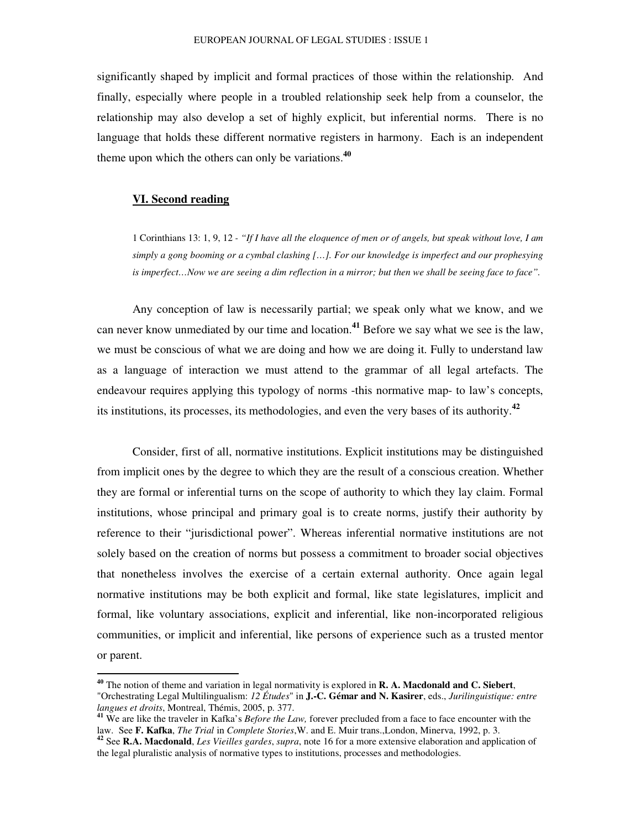significantly shaped by implicit and formal practices of those within the relationship. And finally, especially where people in a troubled relationship seek help from a counselor, the relationship may also develop a set of highly explicit, but inferential norms. There is no language that holds these different normative registers in harmony. Each is an independent theme upon which the others can only be variations. **40**

#### **VI. Second reading**

1 Corinthians 13: 1, 9, 12 - "If I have all the eloquence of men or of angels, but speak without love, I am *simply a gong booming or a cymbal clashing […]. For our knowledge is imperfect and our prophesying* is imperfect...Now we are seeing a dim reflection in a mirror; but then we shall be seeing face to face".

Any conception of law is necessarily partial; we speak only what we know, and we can never know unmediated by our time and location. **<sup>41</sup>** Before we say what we see is the law, we must be conscious of what we are doing and how we are doing it. Fully to understand law as a language of interaction we must attend to the grammar of all legal artefacts. The endeavour requires applying this typology of norms -this normative map- to law's concepts, its institutions, its processes, its methodologies, and even the very bases of its authority. **42**

Consider, first of all, normative institutions. Explicit institutions may be distinguished from implicit ones by the degree to which they are the result of a conscious creation. Whether they are formal or inferential turns on the scope of authority to which they lay claim. Formal institutions, whose principal and primary goal is to create norms, justify their authority by reference to their "jurisdictional power". Whereas inferential normative institutions are not solely based on the creation of norms but possess a commitment to broader social objectives that nonetheless involves the exercise of a certain external authority. Once again legal normative institutions may be both explicit and formal, like state legislatures, implicit and formal, like voluntary associations, explicit and inferential, like non-incorporated religious communities, or implicit and inferential, like persons of experience such as a trusted mentor or parent.

**<sup>40</sup>** The notion of theme and variation in legal normativity is explored in **R. A. Macdonald and C. Siebert**, "Orchestrating Legal Multilingualism: *12 Études*" in **J.-C. Gémar and N. Kasirer**, eds., *Jurilinguistique: entre langues et droits*, Montreal, Thémis, 2005, p. 377.

**<sup>41</sup>** We are like the traveler in Kafka's *Before the Law,* forever precluded from a face to face encounter with the law. See **F. Kafka**, *The Trial* in *Complete Stories*,W. and E. Muir trans.,London, Minerva, 1992, p. 3.

**<sup>42</sup>** See **R.A. Macdonald**, *Les Vieilles gardes*, *supra*, note 16 for a more extensive elaboration and application of the legal pluralistic analysis of normative types to institutions, processes and methodologies.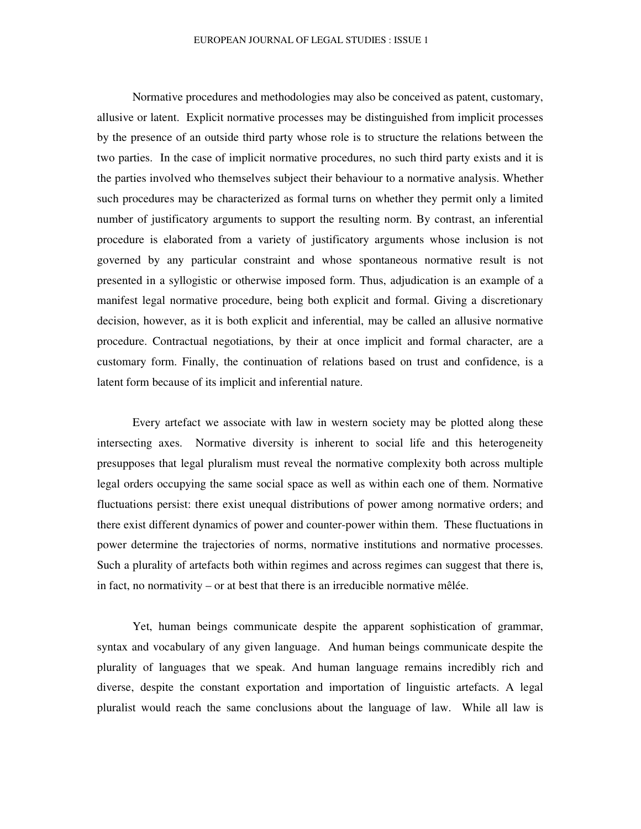Normative procedures and methodologies may also be conceived as patent, customary, allusive or latent. Explicit normative processes may be distinguished from implicit processes by the presence of an outside third party whose role is to structure the relations between the two parties. In the case of implicit normative procedures, no such third party exists and it is the parties involved who themselves subject their behaviour to a normative analysis. Whether such procedures may be characterized as formal turns on whether they permit only a limited number of justificatory arguments to support the resulting norm. By contrast, an inferential procedure is elaborated from a variety of justificatory arguments whose inclusion is not governed by any particular constraint and whose spontaneous normative result is not presented in a syllogistic or otherwise imposed form. Thus, adjudication is an example of a manifest legal normative procedure, being both explicit and formal. Giving a discretionary decision, however, as it is both explicit and inferential, may be called an allusive normative procedure. Contractual negotiations, by their at once implicit and formal character, are a customary form. Finally, the continuation of relations based on trust and confidence, is a latent form because of its implicit and inferential nature.

Every artefact we associate with law in western society may be plotted along these intersecting axes. Normative diversity is inherent to social life and this heterogeneity presupposes that legal pluralism must reveal the normative complexity both across multiple legal orders occupying the same social space as well as within each one of them. Normative fluctuations persist: there exist unequal distributions of power among normative orders; and there exist different dynamics of power and counter-power within them. These fluctuations in power determine the trajectories of norms, normative institutions and normative processes. Such a plurality of artefacts both within regimes and across regimes can suggest that there is, in fact, no normativity – or at best that there is an irreducible normative mêlée.

Yet, human beings communicate despite the apparent sophistication of grammar, syntax and vocabulary of any given language. And human beings communicate despite the plurality of languages that we speak. And human language remains incredibly rich and diverse, despite the constant exportation and importation of linguistic artefacts. A legal pluralist would reach the same conclusions about the language of law. While all law is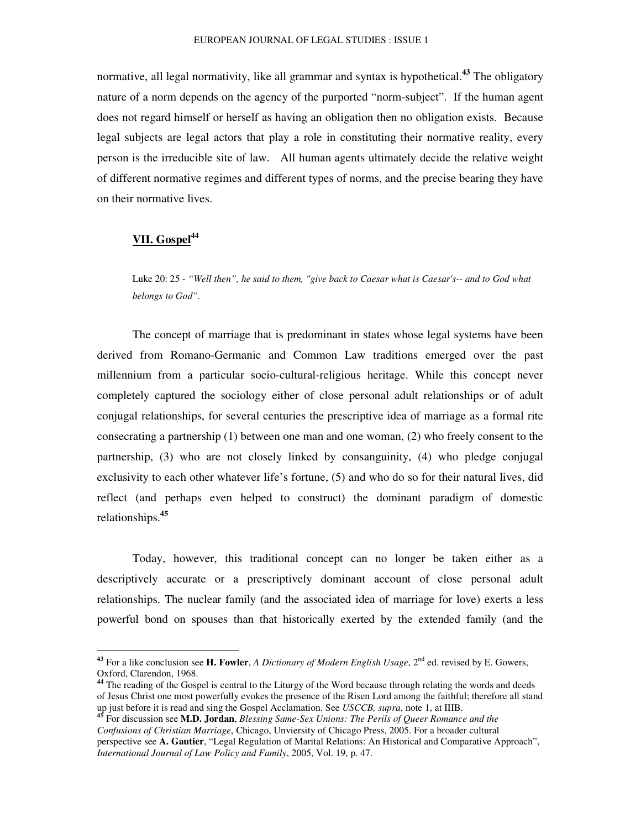normative, all legal normativity, like all grammar and syntax is hypothetical. **<sup>43</sup>** The obligatory nature of a norm depends on the agency of the purported "norm-subject". If the human agent does not regard himself or herself as having an obligation then no obligation exists. Because legal subjects are legal actors that play a role in constituting their normative reality, every person is the irreducible site of law. All human agents ultimately decide the relative weight of different normative regimes and different types of norms, and the precise bearing they have on their normative lives.

# **VII. Gospel 44**

Luke 20: 25 - *"Well then", he said to them, "give back to Caesar what is Caesar's-- and to God what belongs to God".*

The concept of marriage that is predominant in states whose legal systems have been derived from Romano-Germanic and Common Law traditions emerged over the past millennium from a particular socio-cultural-religious heritage. While this concept never completely captured the sociology either of close personal adult relationships or of adult conjugal relationships, for several centuries the prescriptive idea of marriage as a formal rite consecrating a partnership (1) between one man and one woman, (2) who freely consent to the partnership, (3) who are not closely linked by consanguinity, (4) who pledge conjugal exclusivity to each other whatever life's fortune, (5) and who do so for their natural lives, did reflect (and perhaps even helped to construct) the dominant paradigm of domestic relationships. **45**

Today, however, this traditional concept can no longer be taken either as a descriptively accurate or a prescriptively dominant account of close personal adult relationships. The nuclear family (and the associated idea of marriage for love) exerts a less powerful bond on spouses than that historically exerted by the extended family (and the

<sup>&</sup>lt;sup>43</sup> For a like conclusion see H. Fowler, *A Dictionary of Modern English Usage*, 2<sup>nd</sup> ed. revised by E. Gowers, Oxford, Clarendon, 1968.

<sup>&</sup>lt;sup>44</sup> The reading of the Gospel is central to the Liturgy of the Word because through relating the words and deeds of Jesus Christ one most powerfully evokes the presence of the Risen Lord among the faithful; therefore all stand up just before it is read and sing the Gospel Acclamation. See *USCCB, supra*, note 1, at IIIB. **45**

For discussion see **M.D. Jordan**, *Blessing Same-Sex Unions: The Perils of Queer Romance and the Confusions of Christian Marriage*, Chicago, Unviersity of Chicago Press, 2005. For a broader cultural perspective see **A. Gautier**, "Legal Regulation of Marital Relations: An Historical and Comparative Approach", *International Journal of Law Policy and Family*, 2005, Vol. 19, p. 47.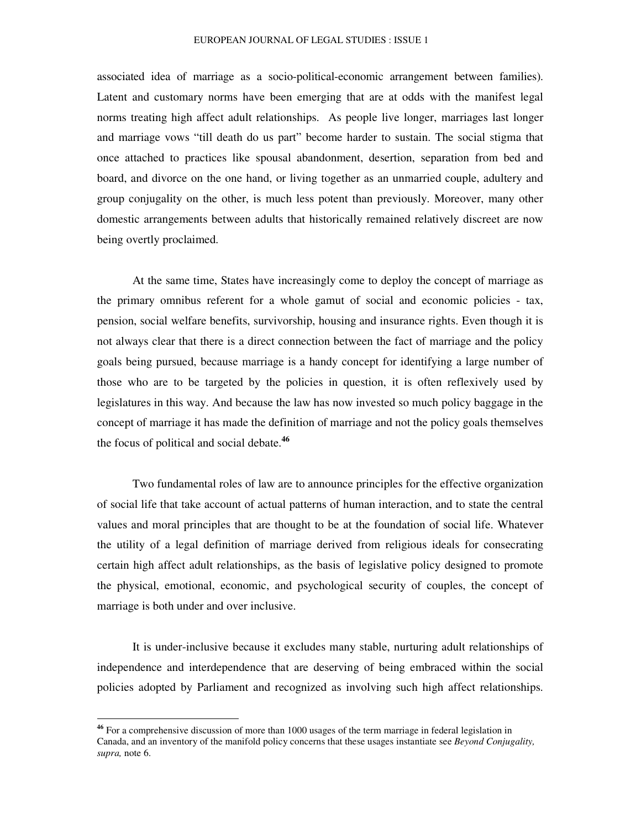#### EUROPEAN JOURNAL OF LEGAL STUDIES : ISSUE 1

associated idea of marriage as a socio-political-economic arrangement between families). Latent and customary norms have been emerging that are at odds with the manifest legal norms treating high affect adult relationships. As people live longer, marriages last longer and marriage vows "till death do us part" become harder to sustain. The social stigma that once attached to practices like spousal abandonment, desertion, separation from bed and board, and divorce on the one hand, or living together as an unmarried couple, adultery and group conjugality on the other, is much less potent than previously. Moreover, many other domestic arrangements between adults that historically remained relatively discreet are now being overtly proclaimed.

At the same time, States have increasingly come to deploy the concept of marriage as the primary omnibus referent for a whole gamut of social and economic policies - tax, pension, social welfare benefits, survivorship, housing and insurance rights. Even though it is not always clear that there is a direct connection between the fact of marriage and the policy goals being pursued, because marriage is a handy concept for identifying a large number of those who are to be targeted by the policies in question, it is often reflexively used by legislatures in this way. And because the law has now invested so much policy baggage in the concept of marriage it has made the definition of marriage and not the policy goals themselves the focus of political and social debate. **46**

Two fundamental roles of law are to announce principles for the effective organization of social life that take account of actual patterns of human interaction, and to state the central values and moral principles that are thought to be at the foundation of social life. Whatever the utility of a legal definition of marriage derived from religious ideals for consecrating certain high affect adult relationships, as the basis of legislative policy designed to promote the physical, emotional, economic, and psychological security of couples, the concept of marriage is both under and over inclusive.

It is under-inclusive because it excludes many stable, nurturing adult relationships of independence and interdependence that are deserving of being embraced within the social policies adopted by Parliament and recognized as involving such high affect relationships.

**<sup>46</sup>** For a comprehensive discussion of more than 1000 usages of the term marriage in federal legislation in Canada, and an inventory of the manifold policy concerns that these usages instantiate see *Beyond Conjugality, supra,* note 6.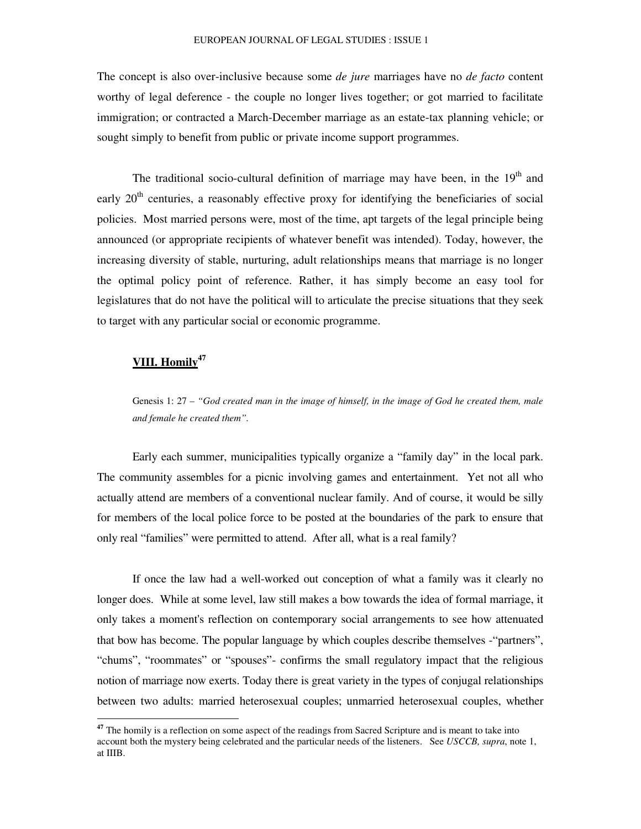The concept is also over-inclusive because some *de jure* marriages have no *de facto* content worthy of legal deference - the couple no longer lives together; or got married to facilitate immigration; or contracted a March-December marriage as an estate-tax planning vehicle; or sought simply to benefit from public or private income support programmes.

The traditional socio-cultural definition of marriage may have been, in the  $19<sup>th</sup>$  and early 20<sup>th</sup> centuries, a reasonably effective proxy for identifying the beneficiaries of social policies. Most married persons were, most of the time, apt targets of the legal principle being announced (or appropriate recipients of whatever benefit was intended). Today, however, the increasing diversity of stable, nurturing, adult relationships means that marriage is no longer the optimal policy point of reference. Rather, it has simply become an easy tool for legislatures that do not have the political will to articulate the precise situations that they seek to target with any particular social or economic programme.

# **VIII. Homily 47**

Genesis 1: 27 – *"God created man in the image of himself, in the image of God he created them, male and female he created them".*

Early each summer, municipalities typically organize a "family day" in the local park. The community assembles for a picnic involving games and entertainment. Yet not all who actually attend are members of a conventional nuclear family. And of course, it would be silly for members of the local police force to be posted at the boundaries of the park to ensure that only real "families" were permitted to attend. After all, what is a real family?

If once the law had a well-worked out conception of what a family was it clearly no longer does. While at some level, law still makes a bow towards the idea of formal marriage, it only takes a moment's reflection on contemporary social arrangements to see how attenuated that bow has become. The popular language by which couples describe themselves -"partners", "chums", "roommates" or "spouses"- confirms the small regulatory impact that the religious notion of marriage now exerts. Today there is great variety in the types of conjugal relationships between two adults: married heterosexual couples; unmarried heterosexual couples, whether

**<sup>47</sup>** The homily is a reflection on some aspect of the readings from Sacred Scripture and is meant to take into account both the mystery being celebrated and the particular needs of the listeners. See *USCCB, supra*, note 1, at IIIB.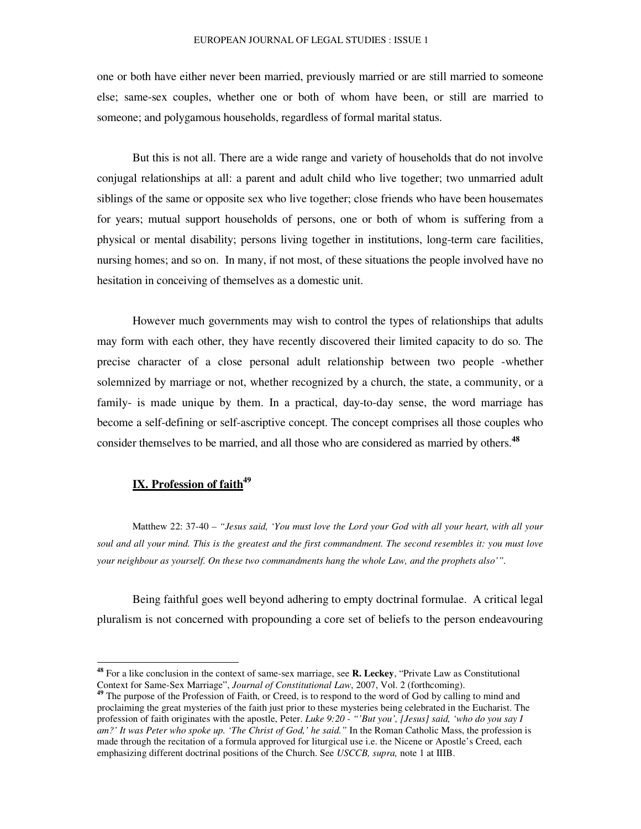one or both have either never been married, previously married or are still married to someone else; same-sex couples, whether one or both of whom have been, or still are married to someone; and polygamous households, regardless of formal marital status.

But this is not all. There are a wide range and variety of households that do not involve conjugal relationships at all: a parent and adult child who live together; two unmarried adult siblings of the same or opposite sex who live together; close friends who have been housemates for years; mutual support households of persons, one or both of whom is suffering from a physical or mental disability; persons living together in institutions, long-term care facilities, nursing homes; and so on. In many, if not most, of these situations the people involved have no hesitation in conceiving of themselves as a domestic unit.

However much governments may wish to control the types of relationships that adults may form with each other, they have recently discovered their limited capacity to do so. The precise character of a close personal adult relationship between two people -whether solemnized by marriage or not, whether recognized by a church, the state, a community, or a family- is made unique by them. In a practical, day-to-day sense, the word marriage has become a self-defining or self-ascriptive concept. The concept comprises all those couples who consider themselves to be married, and all those who are considered as married by others. **48**

# **IX. Profession of faith 49**

Matthew 22: 37-40 *– "Jesus said, 'You must love the Lord your God with all your heart, with all your* soul and all your mind. This is the greatest and the first commandment. The second resembles it: you must love *your neighbour as yourself. On these two commandments hang the whole Law, and the prophets also'".*

Being faithful goes well beyond adhering to empty doctrinal formulae. A critical legal pluralism is not concerned with propounding a core set of beliefs to the person endeavouring

**<sup>48</sup>** For a like conclusion in the context of same-sex marriage, see **R. Leckey**, "Private Law as Constitutional Context for Same-Sex Marriage", *Journal of Constitutional Law*, 2007, Vol. 2 (forthcoming).

<sup>&</sup>lt;sup>49</sup> The purpose of the Profession of Faith, or Creed, is to respond to the word of God by calling to mind and proclaiming the great mysteries of the faith just prior to these mysteries being celebrated in the Eucharist. The profession of faith originates with the apostle, Peter. *Luke 9:20 - "'But you', [Jesus] said, 'who do you say I am?' It was Peter who spoke up. 'The Christ of God,' he said."* In the Roman Catholic Mass, the profession is made through the recitation of a formula approved for liturgical use i.e. the Nicene or Apostle's Creed, each emphasizing different doctrinal positions of the Church. See *USCCB, supra,* note 1 at IIIB.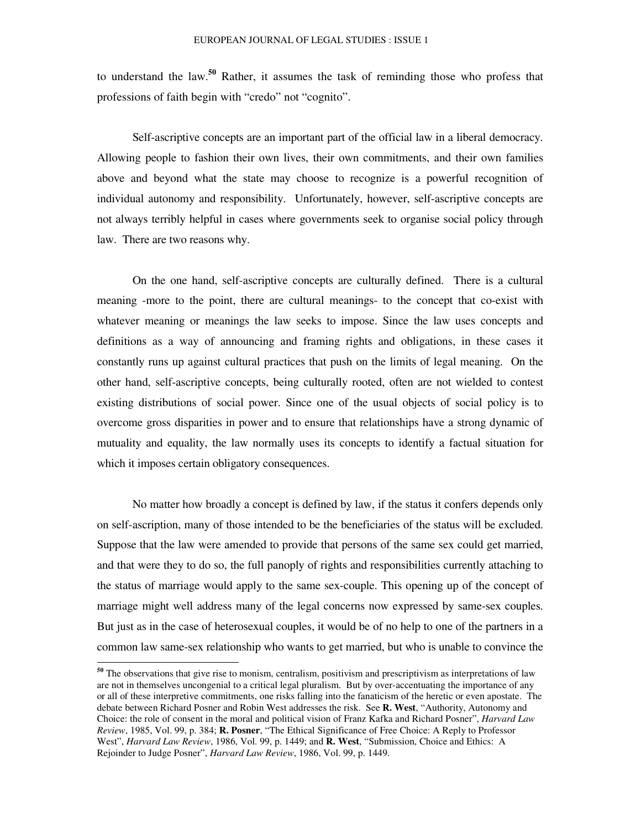to understand the law. **<sup>50</sup>** Rather, it assumes the task of reminding those who profess that professions of faith begin with "credo" not "cognito".

Self-ascriptive concepts are an important part of the official law in a liberal democracy. Allowing people to fashion their own lives, their own commitments, and their own families above and beyond what the state may choose to recognize is a powerful recognition of individual autonomy and responsibility. Unfortunately, however, self-ascriptive concepts are not always terribly helpful in cases where governments seek to organise social policy through law. There are two reasons why.

On the one hand, self-ascriptive concepts are culturally defined. There is a cultural meaning -more to the point, there are cultural meanings- to the concept that co-exist with whatever meaning or meanings the law seeks to impose. Since the law uses concepts and definitions as a way of announcing and framing rights and obligations, in these cases it constantly runs up against cultural practices that push on the limits of legal meaning. On the other hand, self-ascriptive concepts, being culturally rooted, often are not wielded to contest existing distributions of social power. Since one of the usual objects of social policy is to overcome gross disparities in power and to ensure that relationships have a strong dynamic of mutuality and equality, the law normally uses its concepts to identify a factual situation for which it imposes certain obligatory consequences.

No matter how broadly a concept is defined by law, if the status it confers depends only on self-ascription, many of those intended to be the beneficiaries of the status will be excluded. Suppose that the law were amended to provide that persons of the same sex could get married, and that were they to do so, the full panoply of rights and responsibilities currently attaching to the status of marriage would apply to the same sex-couple. This opening up of the concept of marriage might well address many of the legal concerns now expressed by same-sex couples. But just as in the case of heterosexual couples, it would be of no help to one of the partners in a common law same-sex relationship who wants to get married, but who is unable to convince the

**<sup>50</sup>** The observations that give rise to monism, centralism, positivism and prescriptivism as interpretations of law are not in themselves uncongenial to a critical legal pluralism. But by over-accentuating the importance of any or all of these interpretive commitments, one risks falling into the fanaticism of the heretic or even apostate. The debate between Richard Posner and Robin West addresses the risk. See **R. West**, "Authority, Autonomy and Choice: the role of consent in the moral and political vision of Franz Kafka and Richard Posner", *Harvard Law Review*, 1985, Vol. 99, p. 384; **R. Posner**, "The Ethical Significance of Free Choice: A Reply to Professor West", *Harvard Law Review*, 1986, Vol. 99, p. 1449; and **R. West**, "Submission, Choice and Ethics: A Rejoinder to Judge Posner", *Harvard Law Review*, 1986, Vol. 99, p. 1449.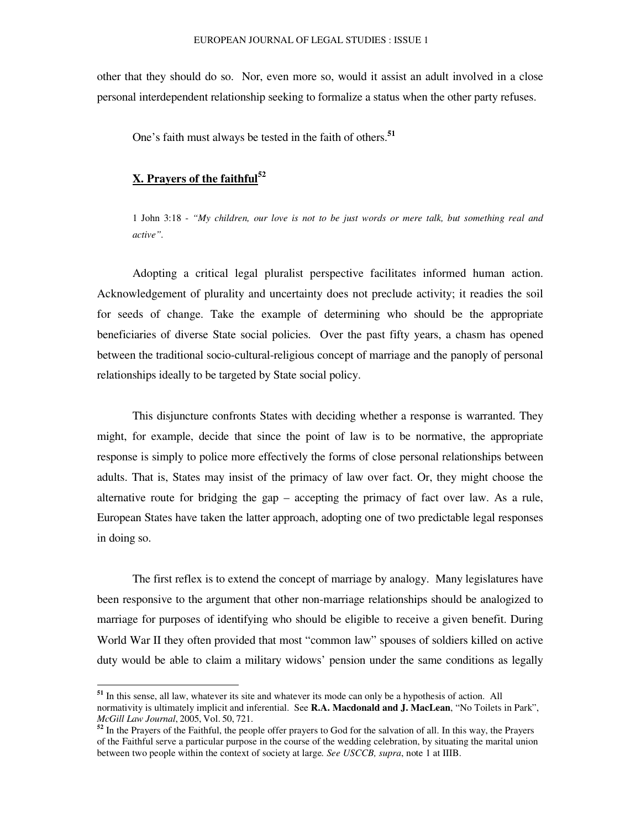other that they should do so. Nor, even more so, would it assist an adult involved in a close personal interdependent relationship seeking to formalize a status when the other party refuses.

One's faith must always be tested in the faith of others. **51**

# **X. Prayers of the faithful 52**

1 John 3:18 - *"My children, our love is not to be just words or mere talk, but something real and active".*

Adopting a critical legal pluralist perspective facilitates informed human action. Acknowledgement of plurality and uncertainty does not preclude activity; it readies the soil for seeds of change. Take the example of determining who should be the appropriate beneficiaries of diverse State social policies. Over the past fifty years, a chasm has opened between the traditional socio-cultural-religious concept of marriage and the panoply of personal relationships ideally to be targeted by State social policy.

This disjuncture confronts States with deciding whether a response is warranted. They might, for example, decide that since the point of law is to be normative, the appropriate response is simply to police more effectively the forms of close personal relationships between adults. That is, States may insist of the primacy of law over fact. Or, they might choose the alternative route for bridging the gap – accepting the primacy of fact over law. As a rule, European States have taken the latter approach, adopting one of two predictable legal responses in doing so.

The first reflex is to extend the concept of marriage by analogy. Many legislatures have been responsive to the argument that other non-marriage relationships should be analogized to marriage for purposes of identifying who should be eligible to receive a given benefit. During World War II they often provided that most "common law" spouses of soldiers killed on active duty would be able to claim a military widows' pension under the same conditions as legally

**<sup>51</sup>** In this sense, all law, whatever its site and whatever its mode can only be a hypothesis of action. All normativity is ultimately implicit and inferential. See **R.A. Macdonald and J. MacLean**, "No Toilets in Park", *McGill Law Journal*, 2005, Vol. 50, 721.

**<sup>52</sup>** In the Prayers of the Faithful, the people offer prayers to God for the salvation of all. In this way, the Prayers of the Faithful serve a particular purpose in the course of the wedding celebration, by situating the marital union between two people within the context of society at large*. See USCCB, supra*, note 1 at IIIB.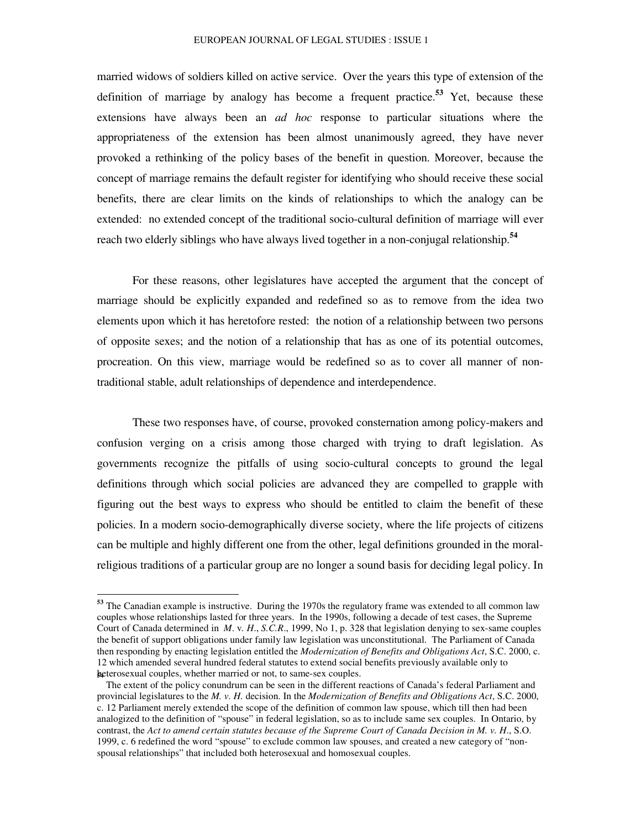#### EUROPEAN JOURNAL OF LEGAL STUDIES : ISSUE 1

married widows of soldiers killed on active service. Over the years this type of extension of the definition of marriage by analogy has become a frequent practice. **<sup>53</sup>** Yet, because these extensions have always been an *ad hoc* response to particular situations where the appropriateness of the extension has been almost unanimously agreed, they have never provoked a rethinking of the policy bases of the benefit in question. Moreover, because the concept of marriage remains the default register for identifying who should receive these social benefits, there are clear limits on the kinds of relationships to which the analogy can be extended: no extended concept of the traditional socio-cultural definition of marriage will ever reach two elderly siblings who have always lived together in a non-conjugal relationship. **54**

For these reasons, other legislatures have accepted the argument that the concept of marriage should be explicitly expanded and redefined so as to remove from the idea two elements upon which it has heretofore rested: the notion of a relationship between two persons of opposite sexes; and the notion of a relationship that has as one of its potential outcomes, procreation. On this view, marriage would be redefined so as to cover all manner of nontraditional stable, adult relationships of dependence and interdependence.

These two responses have, of course, provoked consternation among policy-makers and confusion verging on a crisis among those charged with trying to draft legislation. As governments recognize the pitfalls of using socio-cultural concepts to ground the legal definitions through which social policies are advanced they are compelled to grapple with figuring out the best ways to express who should be entitled to claim the benefit of these policies. In a modern socio-demographically diverse society, where the life projects of citizens can be multiple and highly different one from the other, legal definitions grounded in the moralreligious traditions of a particular group are no longer a sound basis for deciding legal policy. In

**<sup>53</sup>** The Canadian example is instructive. During the 1970s the regulatory frame was extended to all common law couples whose relationships lasted for three years. In the 1990s, following a decade of test cases, the Supreme Court of Canada determined in *M*. v*. H*., *S.C.R*., 1999, No 1, p. 328 that legislation denying to sex-same couples the benefit of support obligations under family law legislation was unconstitutional. The Parliament of Canada then responding by enacting legislation entitled the *Modernization of Benefits and Obligations Act*, S.C. 2000, c. 12 which amended several hundred federal statutes to extend social benefits previously available only to **<sup>5</sup>**h**4**eterosexual couples, whether married or not, to same-sex couples.

The extent of the policy conundrum can be seen in the different reactions of Canada's federal Parliament and provincial legislatures to the *M. v. H.* decision. In the *Modernization of Benefits and Obligations Act*, S.C. 2000, c. 12 Parliament merely extended the scope of the definition of common law spouse, which till then had been analogized to the definition of "spouse" in federal legislation, so as to include same sex couples. In Ontario, by contrast, the Act to amend certain statutes because of the Supreme Court of Canada Decision in M. v. H., S.O. 1999, c. 6 redefined the word "spouse" to exclude common law spouses, and created a new category of "nonspousal relationships" that included both heterosexual and homosexual couples.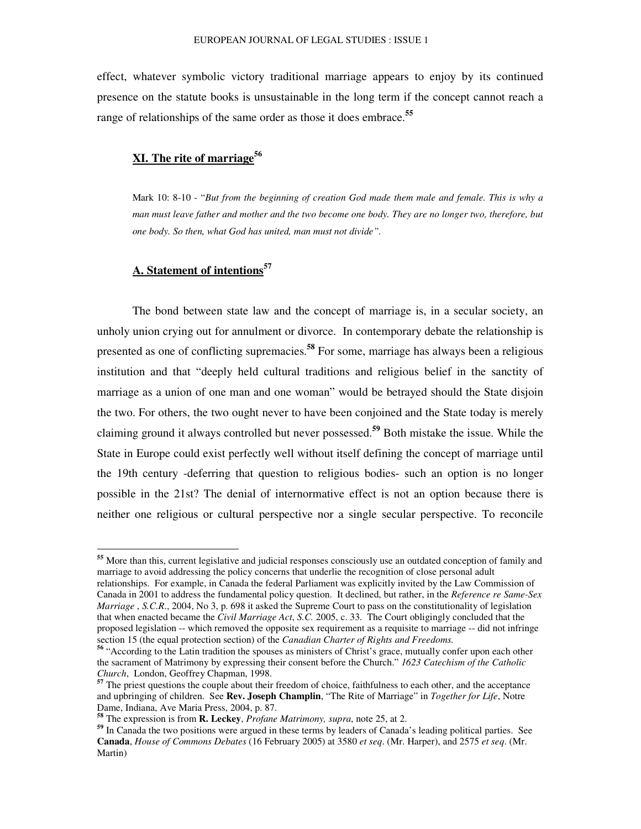effect, whatever symbolic victory traditional marriage appears to enjoy by its continued presence on the statute books is unsustainable in the long term if the concept cannot reach a range of relationships of the same order as those it does embrace. **55**

# **XI. The rite of marriage 56**

Mark 10: 8-10 - "*But from the beginning of creation God made them male and female. This is why a* man must leave father and mother and the two become one body. They are no longer two, therefore, but *one body. So then, what God has united, man must not divide".*

# **A. Statement of intentions 57**

The bond between state law and the concept of marriage is, in a secular society, an unholy union crying out for annulment or divorce. In contemporary debate the relationship is presented as one of conflicting supremacies. **58** For some, marriage has always been a religious institution and that "deeply held cultural traditions and religious belief in the sanctity of marriage as a union of one man and one woman" would be betrayed should the State disjoin the two. For others, the two ought never to have been conjoined and the State today is merely claiming ground it always controlled but never possessed. **<sup>59</sup>** Both mistake the issue. While the State in Europe could exist perfectly well without itself defining the concept of marriage until the 19th century -deferring that question to religious bodies- such an option is no longer possible in the 21st? The denial of internormative effect is not an option because there is neither one religious or cultural perspective nor a single secular perspective. To reconcile

**<sup>55</sup>** More than this, current legislative and judicial responses consciously use an outdated conception of family and marriage to avoid addressing the policy concerns that underlie the recognition of close personal adult relationships. For example, in Canada the federal Parliament was explicitly invited by the Law Commission of Canada in 2001 to address the fundamental policy question. It declined, but rather, in the *Reference re Same-Sex Marriage* , *S.C.R*., 2004, No 3, p. 698 it asked the Supreme Court to pass on the constitutionality of legislation that when enacted became the *Civil Marriage Act*, *S.C.* 2005, c. 33. The Court obligingly concluded that the proposed legislation -- which removed the opposite sex requirement as a requisite to marriage -- did not infringe section 15 (the equal protection section) of the *Canadian Charter of Rights and Freedoms.*

<sup>&</sup>lt;sup>56</sup> "According to the Latin tradition the spouses as ministers of Christ's grace, mutually confer upon each other the sacrament of Matrimony by expressing their consent before the Church." *1623 Catechism of the Catholic Church*, London, Geoffrey Chapman, 1998.

**<sup>57</sup>** The priest questions the couple about their freedom of choice, faithfulness to each other, and the acceptance and upbringing of children. See **Rev. Joseph Champlin**, "The Rite of Marriage" in *Together for Life*, Notre Dame, Indiana, Ave Maria Press, 2004, p. 87.

**<sup>58</sup>** The expression is from **R. Leckey**, *Profane Matrimony, supra*, note 25, at 2.

**<sup>59</sup>** In Canada the two positions were argued in these terms by leaders of Canada's leading political parties. See **Canada**, *House of Commons Debates* (16 February 2005) at 3580 *et seq*. (Mr. Harper), and 2575 *et seq*. (Mr. Martin)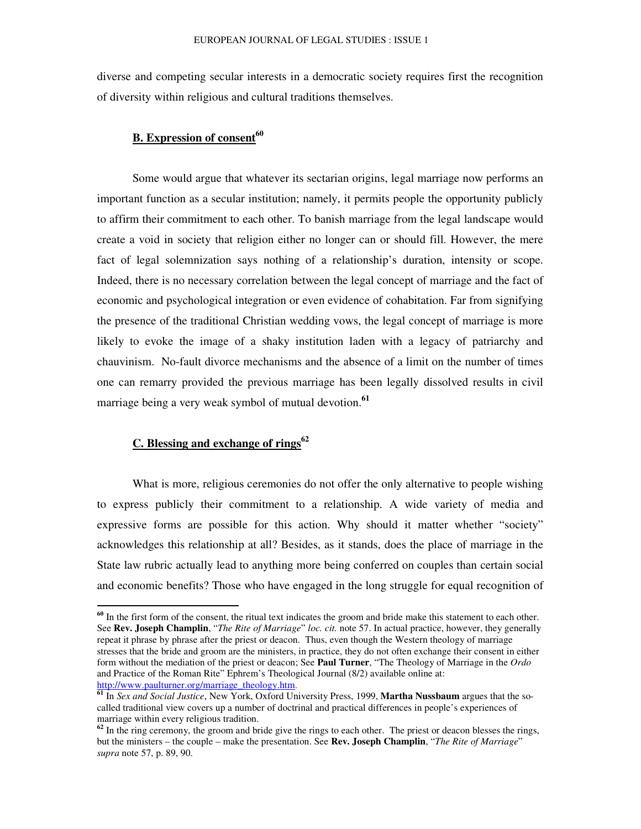diverse and competing secular interests in a democratic society requires first the recognition of diversity within religious and cultural traditions themselves.

# **B. Expression of consent 60**

Some would argue that whatever its sectarian origins, legal marriage now performs an important function as a secular institution; namely, it permits people the opportunity publicly to affirm their commitment to each other. To banish marriage from the legal landscape would create a void in society that religion either no longer can or should fill. However, the mere fact of legal solemnization says nothing of a relationship's duration, intensity or scope. Indeed, there is no necessary correlation between the legal concept of marriage and the fact of economic and psychological integration or even evidence of cohabitation. Far from signifying the presence of the traditional Christian wedding vows, the legal concept of marriage is more likely to evoke the image of a shaky institution laden with a legacy of patriarchy and chauvinism. No-fault divorce mechanisms and the absence of a limit on the number of times one can remarry provided the previous marriage has been legally dissolved results in civil marriage being a very weak symbol of mutual devotion. **61**

# **C. Blessing and exchange of rings 62**

What is more, religious ceremonies do not offer the only alternative to people wishing to express publicly their commitment to a relationship. A wide variety of media and expressive forms are possible for this action. Why should it matter whether "society" acknowledges this relationship at all? Besides, as it stands, does the place of marriage in the State law rubric actually lead to anything more being conferred on couples than certain social and economic benefits? Those who have engaged in the long struggle for equal recognition of

**<sup>60</sup>** In the first form of the consent, the ritual text indicates the groom and bride make this statement to each other. See **Rev. Joseph Champlin**, "*The Rite of Marriage*" *loc. cit.* note 57. In actual practice, however, they generally repeat it phrase by phrase after the priest or deacon. Thus, even though the Western theology of marriage stresses that the bride and groom are the ministers, in practice, they do not often exchange their consent in either form without the mediation of the priest or deacon; See **Paul Turner**, "The Theology of Marriage in the *Ordo* and Practice of the Roman Rite" Ephrem's Theological Journal (8/2) available online at: http://www.paulturner.org/marriage\_theology.htm.

**<sup>61</sup>** In *Sex and Social Justice*, New York, Oxford University Press, 1999, **Martha Nussbaum** argues that the socalled traditional view covers up a number of doctrinal and practical differences in people's experiences of marriage within every religious tradition.

<sup>&</sup>lt;sup>62</sup> In the ring ceremony, the groom and bride give the rings to each other. The priest or deacon blesses the rings, but the ministers – the couple – make the presentation. See **Rev. Joseph Champlin**, "*The Rite of Marriage*" *supra* note 57, p. 89, 90.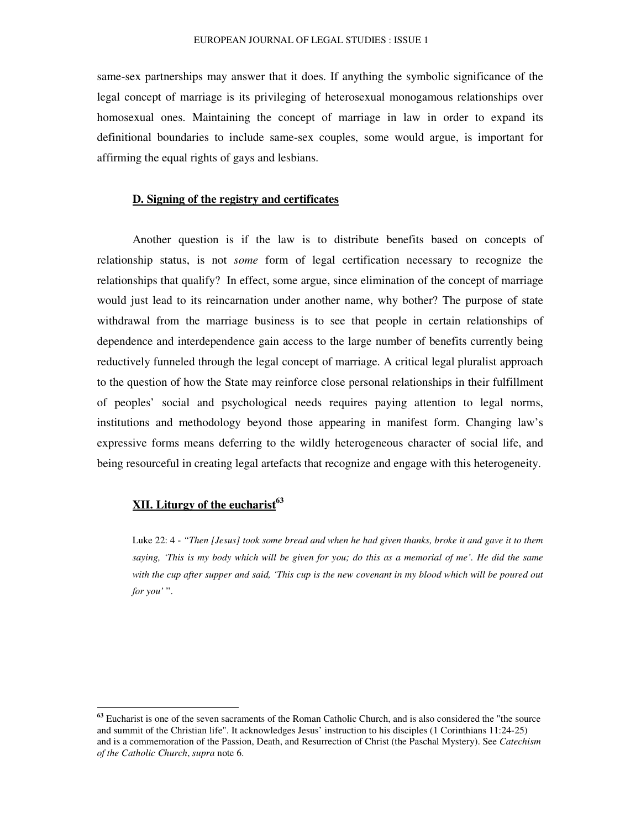same-sex partnerships may answer that it does. If anything the symbolic significance of the legal concept of marriage is its privileging of heterosexual monogamous relationships over homosexual ones. Maintaining the concept of marriage in law in order to expand its definitional boundaries to include same-sex couples, some would argue, is important for affirming the equal rights of gays and lesbians.

#### **D. Signing of the registry and certificates**

Another question is if the law is to distribute benefits based on concepts of relationship status, is not *some* form of legal certification necessary to recognize the relationships that qualify? In effect, some argue, since elimination of the concept of marriage would just lead to its reincarnation under another name, why bother? The purpose of state withdrawal from the marriage business is to see that people in certain relationships of dependence and interdependence gain access to the large number of benefits currently being reductively funneled through the legal concept of marriage. A critical legal pluralist approach to the question of how the State may reinforce close personal relationships in their fulfillment of peoples' social and psychological needs requires paying attention to legal norms, institutions and methodology beyond those appearing in manifest form. Changing law's expressive forms means deferring to the wildly heterogeneous character of social life, and being resourceful in creating legal artefacts that recognize and engage with this heterogeneity.

# **XII. Liturgy of the eucharist 63**

Luke 22: 4 - "Then [Jesus] took some bread and when he had given thanks, broke it and gave it to them saying, 'This is my body which will be given for you; do this as a memorial of me'. He did the same with the cup after supper and said, 'This cup is the new covenant in my blood which will be poured out *for you'* ".

<sup>&</sup>lt;sup>63</sup> Eucharist is one of the seven sacraments of the Roman Catholic Church, and is also considered the "the source and summit of the Christian life". It acknowledges Jesus' instruction to his disciples (1 Corinthians 11:24-25) and is a commemoration of the Passion, Death, and Resurrection of Christ (the Paschal Mystery). See *Catechism of the Catholic Church*, *supra* note 6.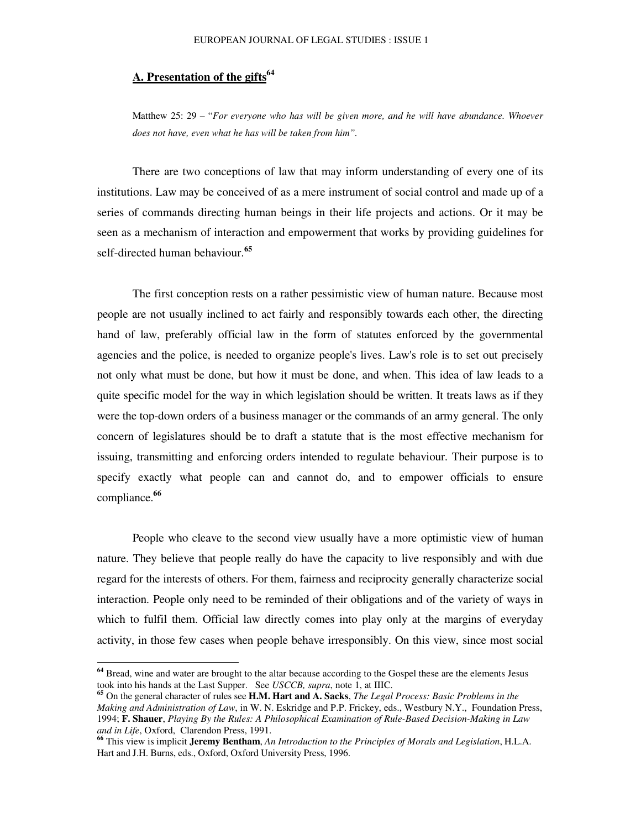# **A. Presentation of the gifts 64**

Matthew 25: 29 – "*For everyone who has will be given more, and he will have abundance. Whoever does not have, even what he has will be taken from him".*

There are two conceptions of law that may inform understanding of every one of its institutions. Law may be conceived of as a mere instrument of social control and made up of a series of commands directing human beings in their life projects and actions. Or it may be seen as a mechanism of interaction and empowerment that works by providing guidelines for self-directed human behaviour. **65**

The first conception rests on a rather pessimistic view of human nature. Because most people are not usually inclined to act fairly and responsibly towards each other, the directing hand of law, preferably official law in the form of statutes enforced by the governmental agencies and the police, is needed to organize people's lives. Law's role is to set out precisely not only what must be done, but how it must be done, and when. This idea of law leads to a quite specific model for the way in which legislation should be written. It treats laws as if they were the top-down orders of a business manager or the commands of an army general. The only concern of legislatures should be to draft a statute that is the most effective mechanism for issuing, transmitting and enforcing orders intended to regulate behaviour. Their purpose is to specify exactly what people can and cannot do, and to empower officials to ensure compliance. **66**

People who cleave to the second view usually have a more optimistic view of human nature. They believe that people really do have the capacity to live responsibly and with due regard for the interests of others. For them, fairness and reciprocity generally characterize social interaction. People only need to be reminded of their obligations and of the variety of ways in which to fulfil them. Official law directly comes into play only at the margins of everyday activity, in those few cases when people behave irresponsibly. On this view, since most social

**<sup>64</sup>** Bread, wine and water are brought to the altar because according to the Gospel these are the elements Jesus took into his hands at the Last Supper. See *USCCB, supra*, note 1, at IIIC.

**<sup>65</sup>** On the general character of rules see **H.M. Hart and A. Sacks**, *The Legal Process: Basic Problems in the Making and Administration of Law*, in W. N. Eskridge and P.P. Frickey, eds., Westbury N.Y., Foundation Press, 1994; **F. Shauer**, *Playing By the Rules: A Philosophical Examination of Rule-Based Decision-Making in Law and in Life*, Oxford, Clarendon Press, 1991.

**<sup>66</sup>** This view is implicit **Jeremy Bentham**, *An Introduction to the Principles of Morals and Legislation*, H.L.A. Hart and J.H. Burns, eds., Oxford, Oxford University Press, 1996.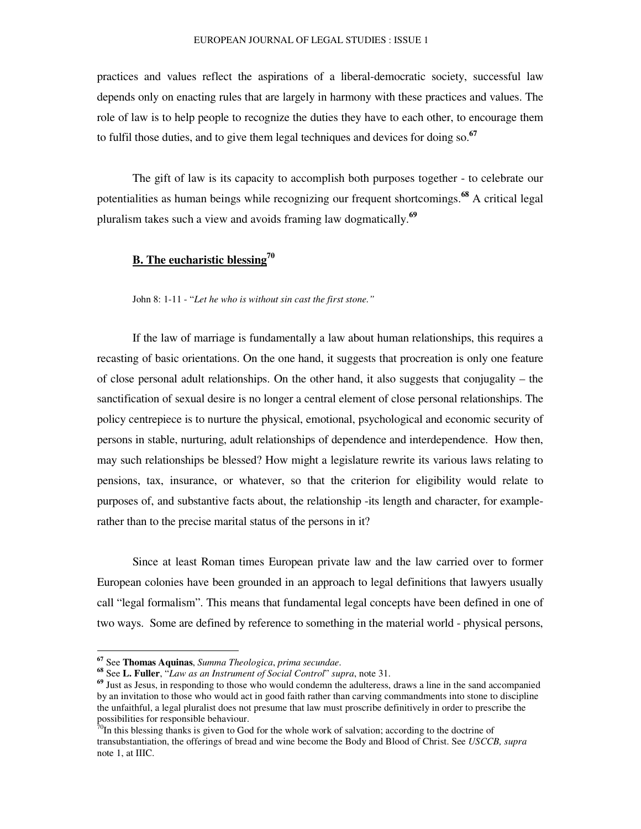practices and values reflect the aspirations of a liberal-democratic society, successful law depends only on enacting rules that are largely in harmony with these practices and values. The role of law is to help people to recognize the duties they have to each other, to encourage them to fulfil those duties, and to give them legal techniques and devices for doing so. **67**

The gift of law is its capacity to accomplish both purposes together - to celebrate our potentialities as human beings while recognizing our frequent shortcomings. **<sup>68</sup>** A critical legal pluralism takes such a view and avoids framing law dogmatically. **69**

# **B. The eucharistic blessing 70**

John 8: 1-11 - "*Let he who is without sin cast the first stone."*

If the law of marriage is fundamentally a law about human relationships, this requires a recasting of basic orientations. On the one hand, it suggests that procreation is only one feature of close personal adult relationships. On the other hand, it also suggests that conjugality – the sanctification of sexual desire is no longer a central element of close personal relationships. The policy centrepiece is to nurture the physical, emotional, psychological and economic security of persons in stable, nurturing, adult relationships of dependence and interdependence. How then, may such relationships be blessed? How might a legislature rewrite its various laws relating to pensions, tax, insurance, or whatever, so that the criterion for eligibility would relate to purposes of, and substantive facts about, the relationship -its length and character, for examplerather than to the precise marital status of the persons in it?

Since at least Roman times European private law and the law carried over to former European colonies have been grounded in an approach to legal definitions that lawyers usually call "legal formalism". This means that fundamental legal concepts have been defined in one of two ways. Some are defined by reference to something in the material world - physical persons,

**<sup>67</sup>** See **Thomas Aquinas**, *Summa Theologica*, *prima secundae*.

**<sup>68</sup>** See **L. Fuller**, "*Law as an Instrument of Social Control*" *supra*, note 31.

**<sup>69</sup>** Just as Jesus, in responding to those who would condemn the adulteress, draws a line in the sand accompanied by an invitation to those who would act in good faith rather than carving commandments into stone to discipline the unfaithful, a legal pluralist does not presume that law must proscribe definitively in order to prescribe the possibilities for responsible behaviour.<br><sup>70</sup>In this blessing thanks is given to God for the whole work of salvation; according to the doctrine of

transubstantiation, the offerings of bread and wine become the Body and Blood of Christ. See *USCCB, supra* note 1, at IIIC.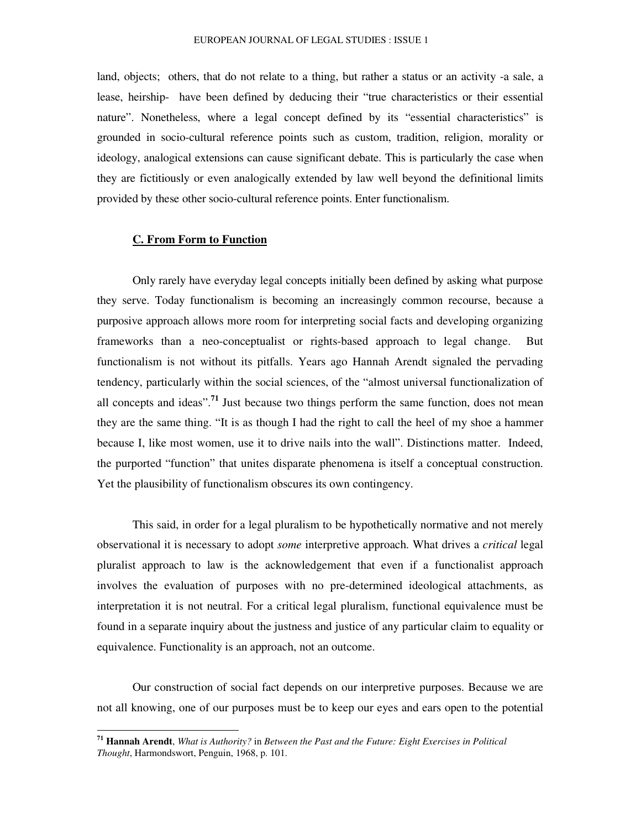land, objects; others, that do not relate to a thing, but rather a status or an activity -a sale, a lease, heirship- have been defined by deducing their "true characteristics or their essential nature". Nonetheless, where a legal concept defined by its "essential characteristics" is grounded in socio-cultural reference points such as custom, tradition, religion, morality or ideology, analogical extensions can cause significant debate. This is particularly the case when they are fictitiously or even analogically extended by law well beyond the definitional limits provided by these other socio-cultural reference points. Enter functionalism.

#### **C. From Form to Function**

Only rarely have everyday legal concepts initially been defined by asking what purpose they serve. Today functionalism is becoming an increasingly common recourse, because a purposive approach allows more room for interpreting social facts and developing organizing frameworks than a neo-conceptualist or rights-based approach to legal change. But functionalism is not without its pitfalls. Years ago Hannah Arendt signaled the pervading tendency, particularly within the social sciences, of the "almost universal functionalization of all concepts and ideas".<sup>71</sup> Just because two things perform the same function, does not mean they are the same thing. "It is as though I had the right to call the heel of my shoe a hammer because I, like most women, use it to drive nails into the wall". Distinctions matter. Indeed, the purported "function" that unites disparate phenomena is itself a conceptual construction. Yet the plausibility of functionalism obscures its own contingency.

This said, in order for a legal pluralism to be hypothetically normative and not merely observational it is necessary to adopt *some* interpretive approach. What drives a *critical* legal pluralist approach to law is the acknowledgement that even if a functionalist approach involves the evaluation of purposes with no pre-determined ideological attachments, as interpretation it is not neutral. For a critical legal pluralism, functional equivalence must be found in a separate inquiry about the justness and justice of any particular claim to equality or equivalence. Functionality is an approach, not an outcome.

Our construction of social fact depends on our interpretive purposes. Because we are not all knowing, one of our purposes must be to keep our eyes and ears open to the potential

**<sup>71</sup> Hannah Arendt**, *What is Authority?* in *Between the Past and the Future: Eight Exercises in Political Thought*, Harmondswort, Penguin, 1968, p. 101.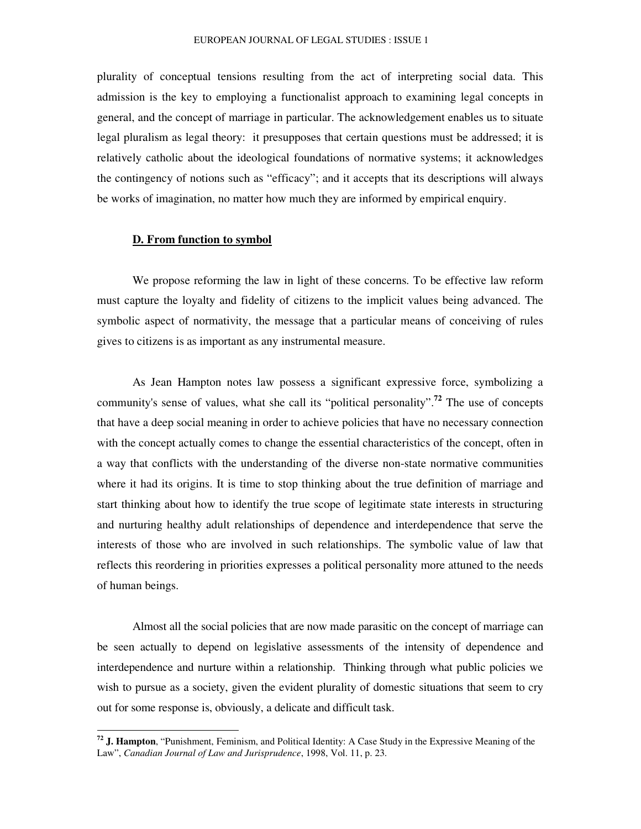plurality of conceptual tensions resulting from the act of interpreting social data. This admission is the key to employing a functionalist approach to examining legal concepts in general, and the concept of marriage in particular. The acknowledgement enables us to situate legal pluralism as legal theory: it presupposes that certain questions must be addressed; it is relatively catholic about the ideological foundations of normative systems; it acknowledges the contingency of notions such as "efficacy"; and it accepts that its descriptions will always be works of imagination, no matter how much they are informed by empirical enquiry.

#### **D. From function to symbol**

We propose reforming the law in light of these concerns. To be effective law reform must capture the loyalty and fidelity of citizens to the implicit values being advanced. The symbolic aspect of normativity, the message that a particular means of conceiving of rules gives to citizens is as important as any instrumental measure.

As Jean Hampton notes law possess a significant expressive force, symbolizing a community's sense of values, what she call its "political personality". **72** The use of concepts that have a deep social meaning in order to achieve policies that have no necessary connection with the concept actually comes to change the essential characteristics of the concept, often in a way that conflicts with the understanding of the diverse non-state normative communities where it had its origins. It is time to stop thinking about the true definition of marriage and start thinking about how to identify the true scope of legitimate state interests in structuring and nurturing healthy adult relationships of dependence and interdependence that serve the interests of those who are involved in such relationships. The symbolic value of law that reflects this reordering in priorities expresses a political personality more attuned to the needs of human beings.

Almost all the social policies that are now made parasitic on the concept of marriage can be seen actually to depend on legislative assessments of the intensity of dependence and interdependence and nurture within a relationship. Thinking through what public policies we wish to pursue as a society, given the evident plurality of domestic situations that seem to cry out for some response is, obviously, a delicate and difficult task.

**<sup>72</sup> J. Hampton**, "Punishment, Feminism, and Political Identity: A Case Study in the Expressive Meaning of the Law", *Canadian Journal of Law and Jurisprudence*, 1998, Vol. 11, p. 23.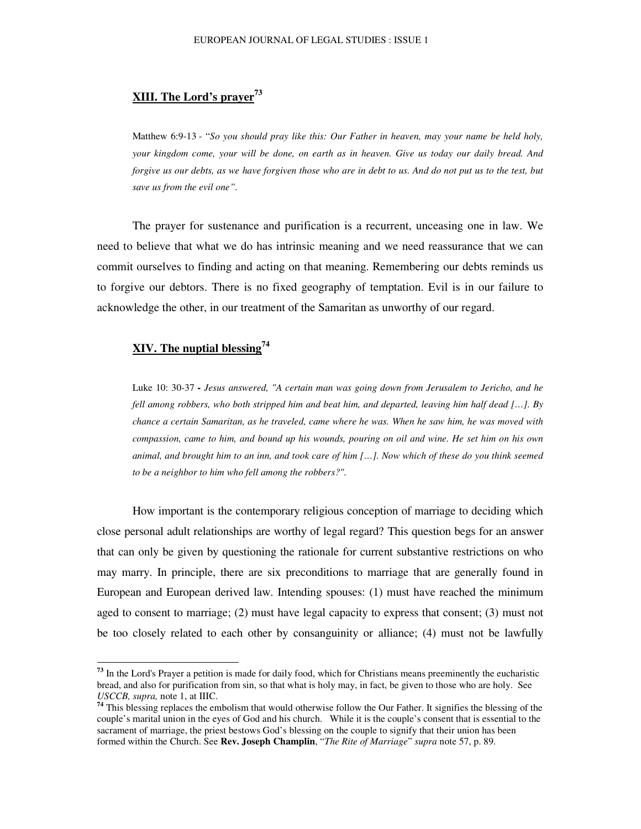# **XIII. The Lord's prayer 73**

Matthew 6:9-13 - "*So you should pray like this: Our Father in heaven, may your name be held holy,* your kingdom come, your will be done, on earth as in heaven. Give us today our daily bread. And forgive us our debts, as we have forgiven those who are in debt to us. And do not put us to the test, but *save us from the evil one".*

The prayer for sustenance and purification is a recurrent, unceasing one in law. We need to believe that what we do has intrinsic meaning and we need reassurance that we can commit ourselves to finding and acting on that meaning. Remembering our debts reminds us to forgive our debtors. There is no fixed geography of temptation. Evil is in our failure to acknowledge the other, in our treatment of the Samaritan as unworthy of our regard.

# **XIV. The nuptial blessing 74**

Luke 10: 30-37 **-** *Jesus answered, "A certain man was going down from Jerusalem to Jericho, and he* fell among robbers, who both stripped him and beat him, and departed, leaving him half dead  $[...]$ . By chance a certain Samaritan, as he traveled, came where he was. When he saw him, he was moved with compassion, came to him, and bound up his wounds, pouring on oil and wine. He set him on his own animal, and brought him to an inn, and took care of him [...]. Now which of these do you think seemed *to be a neighbor to him who fell among the robbers?".*

How important is the contemporary religious conception of marriage to deciding which close personal adult relationships are worthy of legal regard? This question begs for an answer that can only be given by questioning the rationale for current substantive restrictions on who may marry. In principle, there are six preconditions to marriage that are generally found in European and European derived law. Intending spouses: (1) must have reached the minimum aged to consent to marriage; (2) must have legal capacity to express that consent; (3) must not be too closely related to each other by consanguinity or alliance; (4) must not be lawfully

**<sup>73</sup>** In the Lord's Prayer a petition is made for daily food, which for Christians means preeminently the eucharistic bread, and also for purification from sin, so that what is holy may, in fact, be given to those who are holy. See *USCCB, supra,* note 1, at IIIC.

<sup>&</sup>lt;sup>74</sup> This blessing replaces the embolism that would otherwise follow the Our Father. It signifies the blessing of the couple's marital union in the eyes of God and his church. While it is the couple's consent that is essential to the sacrament of marriage, the priest bestows God's blessing on the couple to signify that their union has been formed within the Church. See **Rev. Joseph Champlin**, "*The Rite of Marriage*" *supra* note 57, p. 89.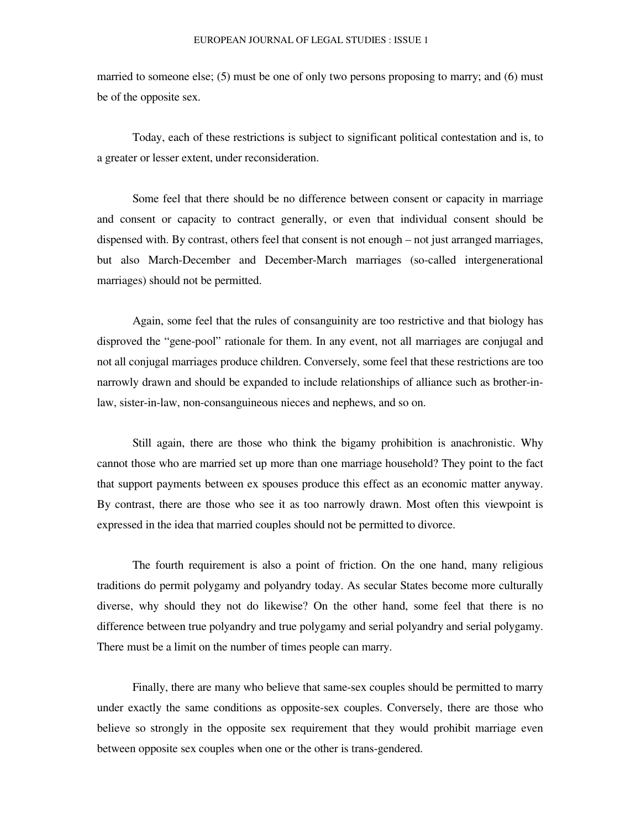married to someone else; (5) must be one of only two persons proposing to marry; and (6) must be of the opposite sex.

Today, each of these restrictions is subject to significant political contestation and is, to a greater or lesser extent, under reconsideration.

Some feel that there should be no difference between consent or capacity in marriage and consent or capacity to contract generally, or even that individual consent should be dispensed with. By contrast, others feel that consent is not enough – not just arranged marriages, but also March-December and December-March marriages (so-called intergenerational marriages) should not be permitted.

Again, some feel that the rules of consanguinity are too restrictive and that biology has disproved the "gene-pool" rationale for them. In any event, not all marriages are conjugal and not all conjugal marriages produce children. Conversely, some feel that these restrictions are too narrowly drawn and should be expanded to include relationships of alliance such as brother-inlaw, sister-in-law, non-consanguineous nieces and nephews, and so on.

Still again, there are those who think the bigamy prohibition is anachronistic. Why cannot those who are married set up more than one marriage household? They point to the fact that support payments between ex spouses produce this effect as an economic matter anyway. By contrast, there are those who see it as too narrowly drawn. Most often this viewpoint is expressed in the idea that married couples should not be permitted to divorce.

The fourth requirement is also a point of friction. On the one hand, many religious traditions do permit polygamy and polyandry today. As secular States become more culturally diverse, why should they not do likewise? On the other hand, some feel that there is no difference between true polyandry and true polygamy and serial polyandry and serial polygamy. There must be a limit on the number of times people can marry.

Finally, there are many who believe that same-sex couples should be permitted to marry under exactly the same conditions as opposite-sex couples. Conversely, there are those who believe so strongly in the opposite sex requirement that they would prohibit marriage even between opposite sex couples when one or the other is trans-gendered.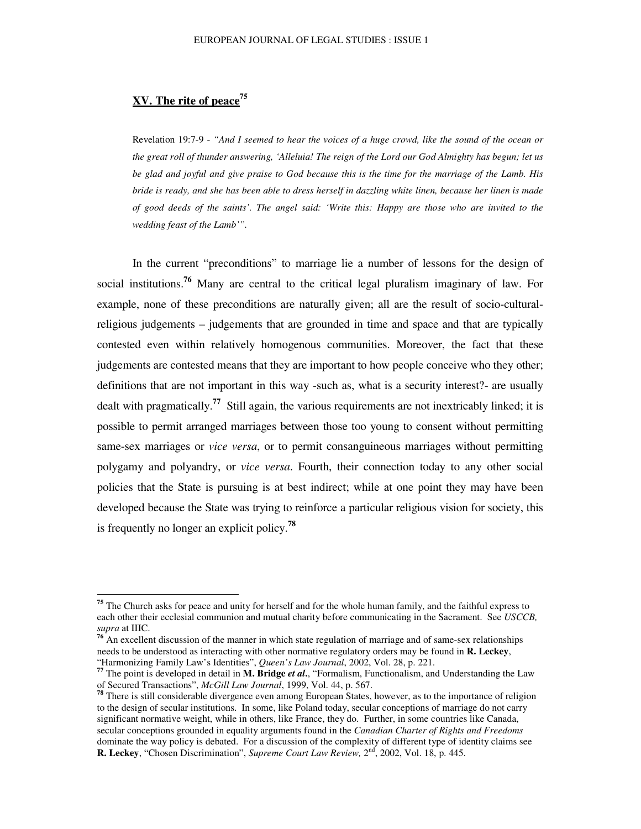# **XV. The rite of peace 75**

Revelation 19:7-9 - "And I seemed to hear the voices of a huge crowd, like the sound of the ocean or the great roll of thunder answering, 'Alleluia! The reign of the Lord our God Almighty has begun; let us be glad and joyful and give praise to God because this is the time for the marriage of the Lamb. His bride is ready, and she has been able to dress herself in dazzling white linen, because her linen is made of good deeds of the saints'. The angel said: 'Write this: Happy are those who are invited to the *wedding feast of the Lamb'".*

In the current "preconditions" to marriage lie a number of lessons for the design of social institutions. **<sup>76</sup>** Many are central to the critical legal pluralism imaginary of law. For example, none of these preconditions are naturally given; all are the result of socio-culturalreligious judgements – judgements that are grounded in time and space and that are typically contested even within relatively homogenous communities. Moreover, the fact that these judgements are contested means that they are important to how people conceive who they other; definitions that are not important in this way -such as, what is a security interest?- are usually dealt with pragmatically. **77** Still again, the various requirements are not inextricably linked; it is possible to permit arranged marriages between those too young to consent without permitting same-sex marriages or *vice versa*, or to permit consanguineous marriages without permitting polygamy and polyandry, or *vice versa*. Fourth, their connection today to any other social policies that the State is pursuing is at best indirect; while at one point they may have been developed because the State was trying to reinforce a particular religious vision for society, this is frequently no longer an explicit policy. **78**

**<sup>76</sup>** An excellent discussion of the manner in which state regulation of marriage and of same-sex relationships needs to be understood as interacting with other normative regulatory orders may be found in **R. Leckey**, "Harmonizing Family Law's Identities", *Queen's Law Journal*, 2002, Vol. 28, p. 221.

<sup>&</sup>lt;sup>75</sup> The Church asks for peace and unity for herself and for the whole human family, and the faithful express to each other their ecclesial communion and mutual charity before communicating in the Sacrament. See *USCCB, supra* at IIIC.

**<sup>77</sup>** The point is developed in detail in **M. Bridge** *et al***.**, "Formalism, Functionalism, and Understanding the Law

of Secured Transactions", *McGill Law Journal*, 1999, Vol. 44, p. 567. **78** There is still considerable divergence even among European States, however, as to the importance of religion to the design of secular institutions. In some, like Poland today, secular conceptions of marriage do not carry significant normative weight, while in others, like France, they do. Further, in some countries like Canada, secular conceptions grounded in equality arguments found in the *Canadian Charter of Rights and Freedoms* dominate the way policy is debated. For a discussion of the complexity of different type of identity claims see **R. Leckey**, "Chosen Discrimination", *Supreme Court Law Review*, 2<sup>nd</sup>, 2002, Vol. 18, p. 445.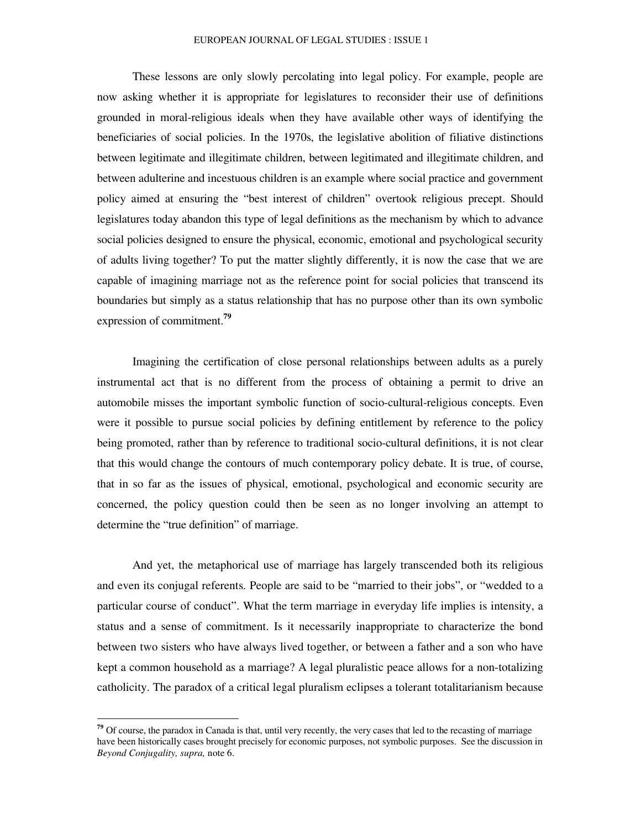These lessons are only slowly percolating into legal policy. For example, people are now asking whether it is appropriate for legislatures to reconsider their use of definitions grounded in moral-religious ideals when they have available other ways of identifying the beneficiaries of social policies. In the 1970s, the legislative abolition of filiative distinctions between legitimate and illegitimate children, between legitimated and illegitimate children, and between adulterine and incestuous children is an example where social practice and government policy aimed at ensuring the "best interest of children" overtook religious precept. Should legislatures today abandon this type of legal definitions as the mechanism by which to advance social policies designed to ensure the physical, economic, emotional and psychological security of adults living together? To put the matter slightly differently, it is now the case that we are capable of imagining marriage not as the reference point for social policies that transcend its boundaries but simply as a status relationship that has no purpose other than its own symbolic expression of commitment. **79**

Imagining the certification of close personal relationships between adults as a purely instrumental act that is no different from the process of obtaining a permit to drive an automobile misses the important symbolic function of socio-cultural-religious concepts. Even were it possible to pursue social policies by defining entitlement by reference to the policy being promoted, rather than by reference to traditional socio-cultural definitions, it is not clear that this would change the contours of much contemporary policy debate. It is true, of course, that in so far as the issues of physical, emotional, psychological and economic security are concerned, the policy question could then be seen as no longer involving an attempt to determine the "true definition" of marriage.

And yet, the metaphorical use of marriage has largely transcended both its religious and even its conjugal referents. People are said to be "married to their jobs", or "wedded to a particular course of conduct". What the term marriage in everyday life implies is intensity, a status and a sense of commitment. Is it necessarily inappropriate to characterize the bond between two sisters who have always lived together, or between a father and a son who have kept a common household as a marriage? A legal pluralistic peace allows for a non-totalizing catholicity. The paradox of a critical legal pluralism eclipses a tolerant totalitarianism because

**<sup>79</sup>** Of course, the paradox in Canada is that, until very recently, the very cases that led to the recasting of marriage have been historically cases brought precisely for economic purposes, not symbolic purposes. See the discussion in *Beyond Conjugality, supra,* note 6.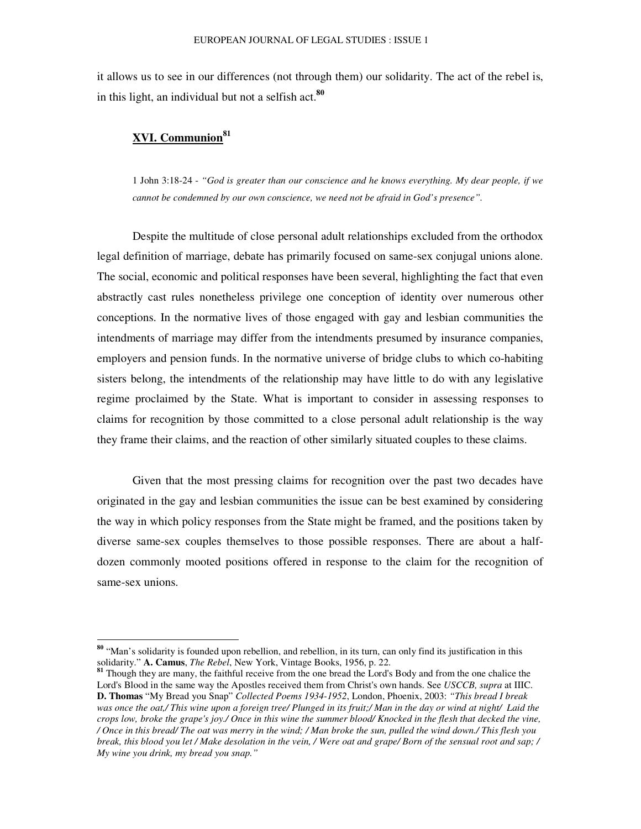it allows us to see in our differences (not through them) our solidarity. The act of the rebel is, in this light, an individual but not a selfish act. **80**

# **XVI. Communion 81**

1 John 3:18-24 - *"God is greater than our conscience and he knows everything. My dear people, if we cannot be condemned by our own conscience, we need not be afraid in God's presence".*

Despite the multitude of close personal adult relationships excluded from the orthodox legal definition of marriage, debate has primarily focused on same-sex conjugal unions alone. The social, economic and political responses have been several, highlighting the fact that even abstractly cast rules nonetheless privilege one conception of identity over numerous other conceptions. In the normative lives of those engaged with gay and lesbian communities the intendments of marriage may differ from the intendments presumed by insurance companies, employers and pension funds. In the normative universe of bridge clubs to which co-habiting sisters belong, the intendments of the relationship may have little to do with any legislative regime proclaimed by the State. What is important to consider in assessing responses to claims for recognition by those committed to a close personal adult relationship is the way they frame their claims, and the reaction of other similarly situated couples to these claims.

Given that the most pressing claims for recognition over the past two decades have originated in the gay and lesbian communities the issue can be best examined by considering the way in which policy responses from the State might be framed, and the positions taken by diverse same-sex couples themselves to those possible responses. There are about a halfdozen commonly mooted positions offered in response to the claim for the recognition of same-sex unions.

**<sup>80</sup>** "Man's solidarity is founded upon rebellion, and rebellion, in its turn, can only find its justification in this solidarity." **A. Camus**, *The Rebel*, New York, Vintage Books, 1956, p. 22. **81** Though they are many, the faithful receive from the one bread the Lord's Body and from the one chalice the

Lord's Blood in the same way the Apostles received them from Christ's own hands. See *USCCB, supra* at IIIC. **D. Thomas** "My Bread you Snap" *Collected Poems 1934-1952*, London, Phoenix, 2003: *"This bread I break* was once the oat,/This wine upon a foreign tree/Plunged in its fruit;/Man in the day or wind at night/ Laid the crops low, broke the grape's joy./ Once in this wine the summer blood/Knocked in the flesh that decked the vine, / Once in this bread/ The oat was merry in the wind; / Man broke the sun, pulled the wind down./ This flesh you break, this blood you let / Make desolation in the vein, / Were oat and grape/ Born of the sensual root and sap; / *My wine you drink, my bread you snap."*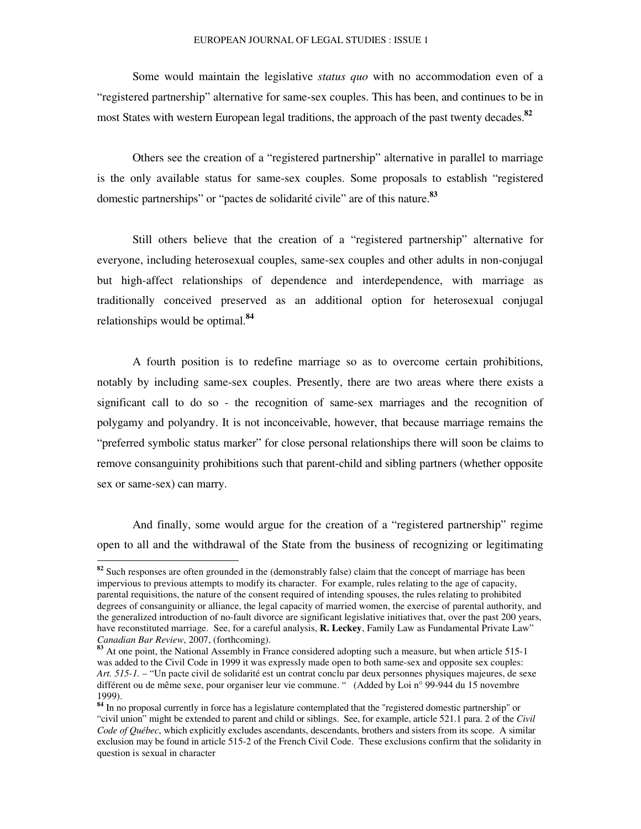Some would maintain the legislative *status quo* with no accommodation even of a "registered partnership" alternative for same-sex couples. This has been, and continues to be in most States with western European legal traditions, the approach of the past twenty decades. **82**

Others see the creation of a "registered partnership" alternative in parallel to marriage is the only available status for same-sex couples. Some proposals to establish "registered domestic partnerships" or "pactes de solidarité civile" are of this nature. **83**

Still others believe that the creation of a "registered partnership" alternative for everyone, including heterosexual couples, same-sex couples and other adults in non-conjugal but high-affect relationships of dependence and interdependence, with marriage as traditionally conceived preserved as an additional option for heterosexual conjugal relationships would be optimal. **84**

A fourth position is to redefine marriage so as to overcome certain prohibitions, notably by including same-sex couples. Presently, there are two areas where there exists a significant call to do so - the recognition of same-sex marriages and the recognition of polygamy and polyandry. It is not inconceivable, however, that because marriage remains the "preferred symbolic status marker" for close personal relationships there will soon be claims to remove consanguinity prohibitions such that parent-child and sibling partners (whether opposite sex or same-sex) can marry.

And finally, some would argue for the creation of a "registered partnership" regime open to all and the withdrawal of the State from the business of recognizing or legitimating

**<sup>82</sup>** Such responses are often grounded in the (demonstrably false) claim that the concept of marriage has been impervious to previous attempts to modify its character. For example, rules relating to the age of capacity, parental requisitions, the nature of the consent required of intending spouses, the rules relating to prohibited degrees of consanguinity or alliance, the legal capacity of married women, the exercise of parental authority, and the generalized introduction of no-fault divorce are significant legislative initiatives that, over the past 200 years, have reconstituted marriage. See, for a careful analysis, **R. Leckey**, Family Law as Fundamental Private Law" *Canadian Bar Review*, 2007, (forthcoming).

**<sup>83</sup>** At one point, the National Assembly in France considered adopting such a measure, but when article 515-1 was added to the Civil Code in 1999 it was expressly made open to both same-sex and opposite sex couples: *Art. 515-1.* – "Un pacte civil de solidarité est un contrat conclu par deux personnes physiques majeures, de sexe différent ou de même sexe, pour organiser leur vie commune. " (Added by Loi n° 99-944 du 15 novembre 1999).

**<sup>84</sup>** In no proposal currently in force has a legislature contemplated that the "registered domestic partnership" or "civil union" might be extended to parent and child or siblings. See, for example, article 521.1 para. 2 of the *Civil Code of Québec*, which explicitly excludes ascendants, descendants, brothers and sisters from its scope. A similar exclusion may be found in article 515-2 of the French Civil Code. These exclusions confirm that the solidarity in question is sexual in character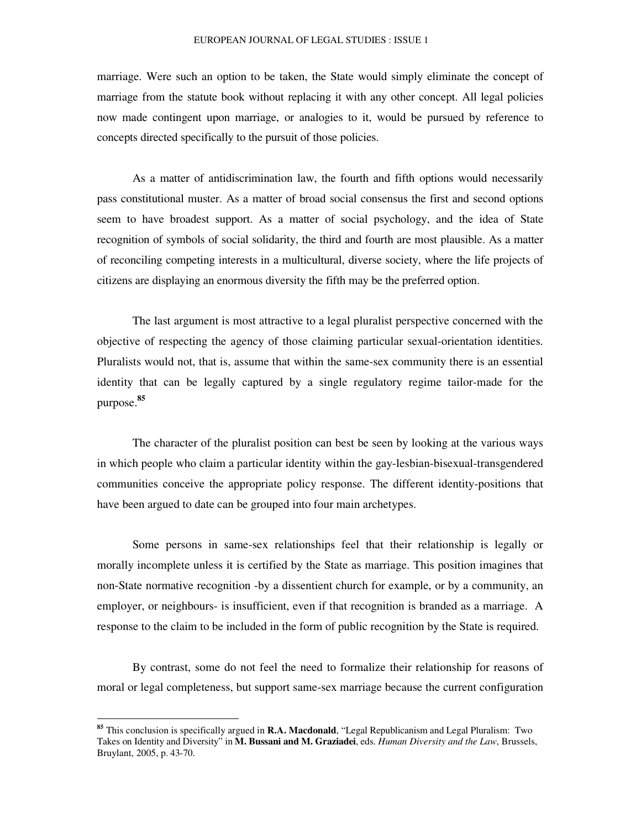marriage. Were such an option to be taken, the State would simply eliminate the concept of marriage from the statute book without replacing it with any other concept. All legal policies now made contingent upon marriage, or analogies to it, would be pursued by reference to concepts directed specifically to the pursuit of those policies.

As a matter of antidiscrimination law, the fourth and fifth options would necessarily pass constitutional muster. As a matter of broad social consensus the first and second options seem to have broadest support. As a matter of social psychology, and the idea of State recognition of symbols of social solidarity, the third and fourth are most plausible. As a matter of reconciling competing interests in a multicultural, diverse society, where the life projects of citizens are displaying an enormous diversity the fifth may be the preferred option.

The last argument is most attractive to a legal pluralist perspective concerned with the objective of respecting the agency of those claiming particular sexual-orientation identities. Pluralists would not, that is, assume that within the same-sex community there is an essential identity that can be legally captured by a single regulatory regime tailor-made for the purpose. **85**

The character of the pluralist position can best be seen by looking at the various ways in which people who claim a particular identity within the gay-lesbian-bisexual-transgendered communities conceive the appropriate policy response. The different identity-positions that have been argued to date can be grouped into four main archetypes.

Some persons in same-sex relationships feel that their relationship is legally or morally incomplete unless it is certified by the State as marriage. This position imagines that non-State normative recognition -by a dissentient church for example, or by a community, an employer, or neighbours- is insufficient, even if that recognition is branded as a marriage. A response to the claim to be included in the form of public recognition by the State is required.

By contrast, some do not feel the need to formalize their relationship for reasons of moral or legal completeness, but support same-sex marriage because the current configuration

**<sup>85</sup>** This conclusion is specifically argued in **R.A. Macdonald**, "Legal Republicanism and Legal Pluralism: Two Takes on Identity and Diversity" in **M. Bussani and M. Graziadei**, eds. *Human Diversity and the Law*, Brussels, Bruylant, 2005, p. 43-70.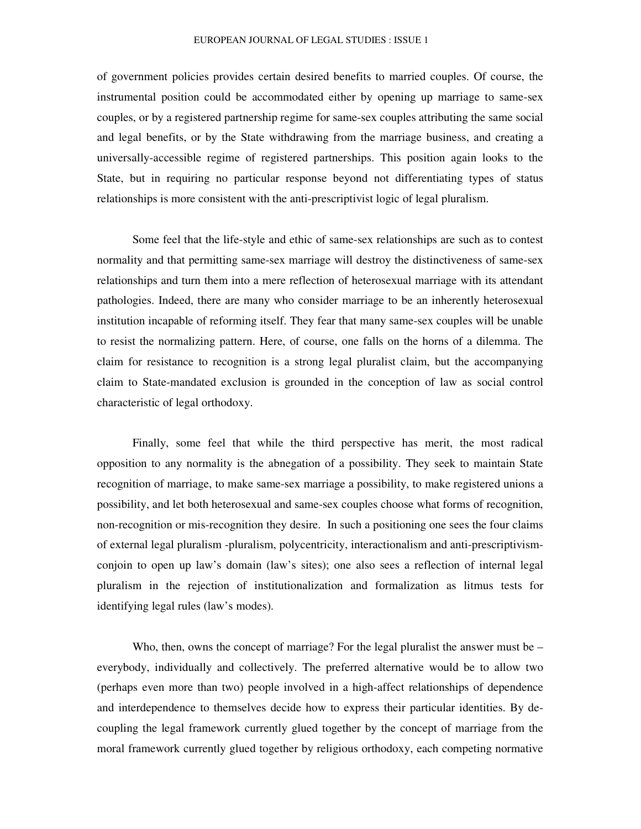of government policies provides certain desired benefits to married couples. Of course, the instrumental position could be accommodated either by opening up marriage to same-sex couples, or by a registered partnership regime for same-sex couples attributing the same social and legal benefits, or by the State withdrawing from the marriage business, and creating a universally-accessible regime of registered partnerships. This position again looks to the State, but in requiring no particular response beyond not differentiating types of status relationships is more consistent with the anti-prescriptivist logic of legal pluralism.

Some feel that the life-style and ethic of same-sex relationships are such as to contest normality and that permitting same-sex marriage will destroy the distinctiveness of same-sex relationships and turn them into a mere reflection of heterosexual marriage with its attendant pathologies. Indeed, there are many who consider marriage to be an inherently heterosexual institution incapable of reforming itself. They fear that many same-sex couples will be unable to resist the normalizing pattern. Here, of course, one falls on the horns of a dilemma. The claim for resistance to recognition is a strong legal pluralist claim, but the accompanying claim to State-mandated exclusion is grounded in the conception of law as social control characteristic of legal orthodoxy.

Finally, some feel that while the third perspective has merit, the most radical opposition to any normality is the abnegation of a possibility. They seek to maintain State recognition of marriage, to make same-sex marriage a possibility, to make registered unions a possibility, and let both heterosexual and same-sex couples choose what forms of recognition, non-recognition or mis-recognition they desire. In such a positioning one sees the four claims of external legal pluralism -pluralism, polycentricity, interactionalism and anti-prescriptivismconjoin to open up law's domain (law's sites); one also sees a reflection of internal legal pluralism in the rejection of institutionalization and formalization as litmus tests for identifying legal rules (law's modes).

Who, then, owns the concept of marriage? For the legal pluralist the answer must be  $$ everybody, individually and collectively. The preferred alternative would be to allow two (perhaps even more than two) people involved in a high-affect relationships of dependence and interdependence to themselves decide how to express their particular identities. By decoupling the legal framework currently glued together by the concept of marriage from the moral framework currently glued together by religious orthodoxy, each competing normative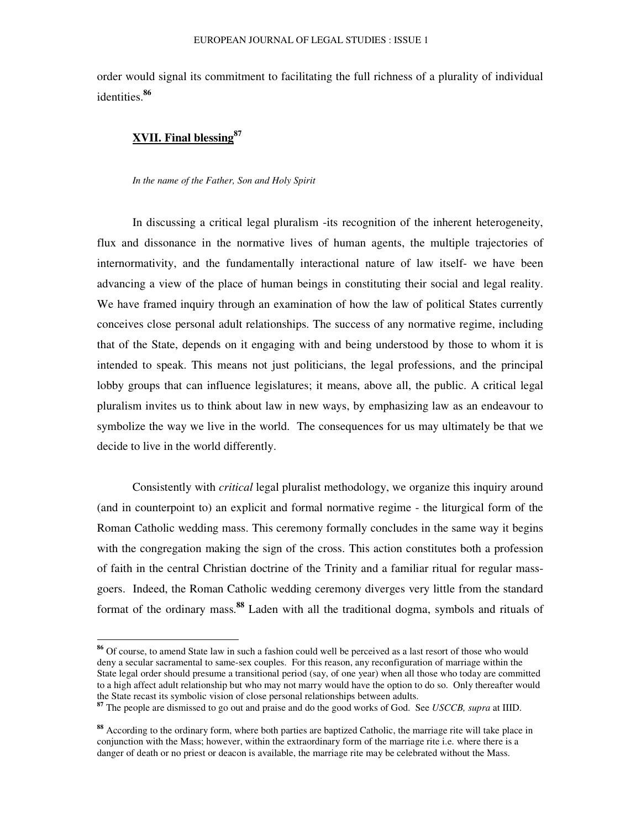order would signal its commitment to facilitating the full richness of a plurality of individual identities. **86**

# **XVII. Final blessing 87**

*In the name of the Father, Son and Holy Spirit*

In discussing a critical legal pluralism -its recognition of the inherent heterogeneity, flux and dissonance in the normative lives of human agents, the multiple trajectories of internormativity, and the fundamentally interactional nature of law itself- we have been advancing a view of the place of human beings in constituting their social and legal reality. We have framed inquiry through an examination of how the law of political States currently conceives close personal adult relationships. The success of any normative regime, including that of the State, depends on it engaging with and being understood by those to whom it is intended to speak. This means not just politicians, the legal professions, and the principal lobby groups that can influence legislatures; it means, above all, the public. A critical legal pluralism invites us to think about law in new ways, by emphasizing law as an endeavour to symbolize the way we live in the world. The consequences for us may ultimately be that we decide to live in the world differently.

Consistently with *critical* legal pluralist methodology, we organize this inquiry around (and in counterpoint to) an explicit and formal normative regime - the liturgical form of the Roman Catholic wedding mass. This ceremony formally concludes in the same way it begins with the congregation making the sign of the cross. This action constitutes both a profession of faith in the central Christian doctrine of the Trinity and a familiar ritual for regular massgoers. Indeed, the Roman Catholic wedding ceremony diverges very little from the standard format of the ordinary mass. **<sup>88</sup>** Laden with all the traditional dogma, symbols and rituals of

**<sup>86</sup>** Of course, to amend State law in such a fashion could well be perceived as a last resort of those who would deny a secular sacramental to same-sex couples. For this reason, any reconfiguration of marriage within the State legal order should presume a transitional period (say, of one year) when all those who today are committed to a high affect adult relationship but who may not marry would have the option to do so. Only thereafter would the State recast its symbolic vision of close personal relationships between adults.

**<sup>87</sup>** The people are dismissed to go out and praise and do the good works of God. See *USCCB, supra* at IIID.

**<sup>88</sup>** According to the ordinary form, where both parties are baptized Catholic, the marriage rite will take place in conjunction with the Mass; however, within the extraordinary form of the marriage rite i.e. where there is a danger of death or no priest or deacon is available, the marriage rite may be celebrated without the Mass.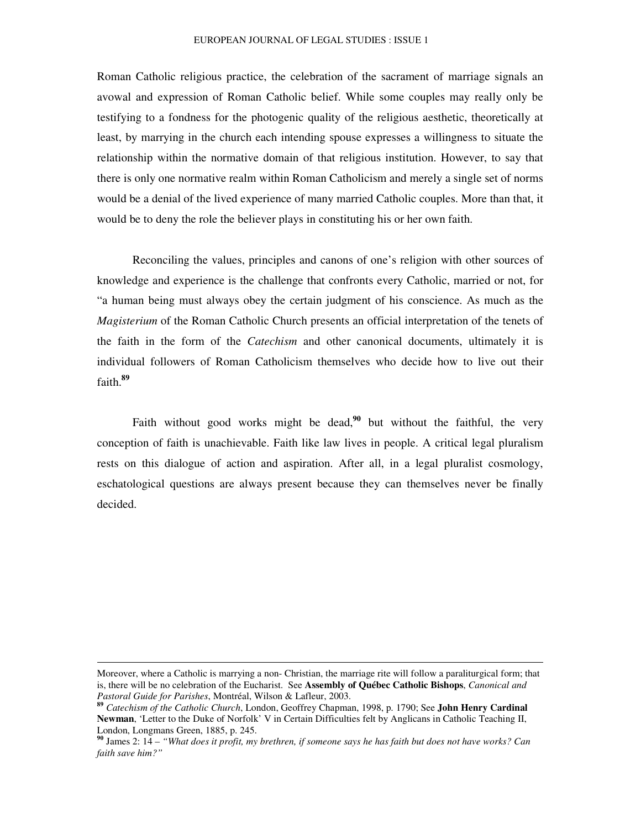#### EUROPEAN JOURNAL OF LEGAL STUDIES : ISSUE 1

Roman Catholic religious practice, the celebration of the sacrament of marriage signals an avowal and expression of Roman Catholic belief. While some couples may really only be testifying to a fondness for the photogenic quality of the religious aesthetic, theoretically at least, by marrying in the church each intending spouse expresses a willingness to situate the relationship within the normative domain of that religious institution. However, to say that there is only one normative realm within Roman Catholicism and merely a single set of norms would be a denial of the lived experience of many married Catholic couples. More than that, it would be to deny the role the believer plays in constituting his or her own faith.

Reconciling the values, principles and canons of one's religion with other sources of knowledge and experience is the challenge that confronts every Catholic, married or not, for "a human being must always obey the certain judgment of his conscience. As much as the *Magisterium* of the Roman Catholic Church presents an official interpretation of the tenets of the faith in the form of the *Catechism* and other canonical documents, ultimately it is individual followers of Roman Catholicism themselves who decide how to live out their faith. **89**

Faith without good works might be dead,<sup>90</sup> but without the faithful, the very conception of faith is unachievable. Faith like law lives in people. A critical legal pluralism rests on this dialogue of action and aspiration. After all, in a legal pluralist cosmology, eschatological questions are always present because they can themselves never be finally decided.

Moreover, where a Catholic is marrying a non- Christian, the marriage rite will follow a paraliturgical form; that is, there will be no celebration of the Eucharist. See **Assembly of Québec Catholic Bishops**, *Canonical and Pastoral Guide for Parishes*, Montréal, Wilson & Lafleur, 2003.

**<sup>89</sup>** *Catechism of the Catholic Church*, London, Geoffrey Chapman, 1998, p. 1790; See **John Henry Cardinal Newman**, 'Letter to the Duke of Norfolk' V in Certain Difficulties felt by Anglicans in Catholic Teaching II, London, Longmans Green, 1885, p. 245.

<sup>&</sup>lt;sup>90</sup> James 2: 14 – "What does it profit, my brethren, if someone says he has faith but does not have works? Can *faith save him?"*